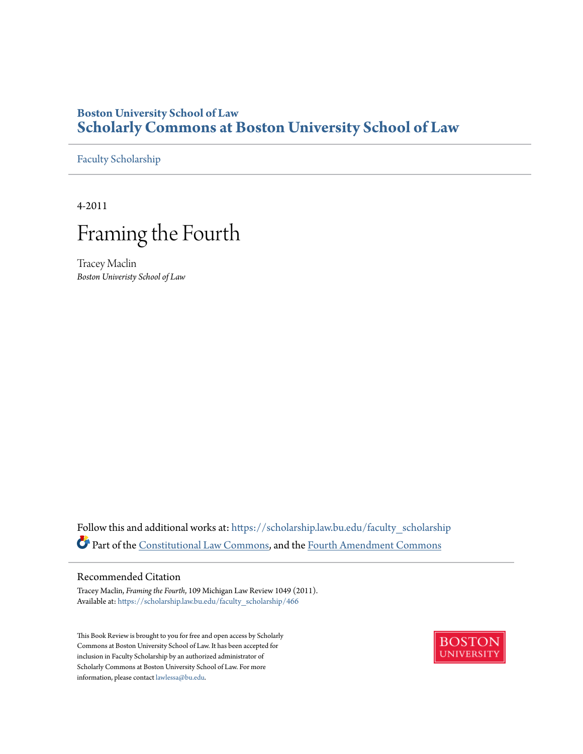# **Boston University School of Law [Scholarly Commons at Boston University School of Law](https://scholarship.law.bu.edu?utm_source=scholarship.law.bu.edu%2Ffaculty_scholarship%2F466&utm_medium=PDF&utm_campaign=PDFCoverPages)**

[Faculty Scholarship](https://scholarship.law.bu.edu/faculty_scholarship?utm_source=scholarship.law.bu.edu%2Ffaculty_scholarship%2F466&utm_medium=PDF&utm_campaign=PDFCoverPages)

4-2011

# Framing the Fourth

Tracey Maclin *Boston Univeristy School of Law*

Follow this and additional works at: [https://scholarship.law.bu.edu/faculty\\_scholarship](https://scholarship.law.bu.edu/faculty_scholarship?utm_source=scholarship.law.bu.edu%2Ffaculty_scholarship%2F466&utm_medium=PDF&utm_campaign=PDFCoverPages) Part of the [Constitutional Law Commons,](http://network.bepress.com/hgg/discipline/589?utm_source=scholarship.law.bu.edu%2Ffaculty_scholarship%2F466&utm_medium=PDF&utm_campaign=PDFCoverPages) and the [Fourth Amendment Commons](http://network.bepress.com/hgg/discipline/1180?utm_source=scholarship.law.bu.edu%2Ffaculty_scholarship%2F466&utm_medium=PDF&utm_campaign=PDFCoverPages)

# Recommended Citation

Tracey Maclin, *Framing the Fourth*, 109 Michigan Law Review 1049 (2011). Available at: [https://scholarship.law.bu.edu/faculty\\_scholarship/466](https://scholarship.law.bu.edu/faculty_scholarship/466?utm_source=scholarship.law.bu.edu%2Ffaculty_scholarship%2F466&utm_medium=PDF&utm_campaign=PDFCoverPages)

This Book Review is brought to you for free and open access by Scholarly Commons at Boston University School of Law. It has been accepted for inclusion in Faculty Scholarship by an authorized administrator of Scholarly Commons at Boston University School of Law. For more information, please contact [lawlessa@bu.edu.](mailto:lawlessa@bu.edu)

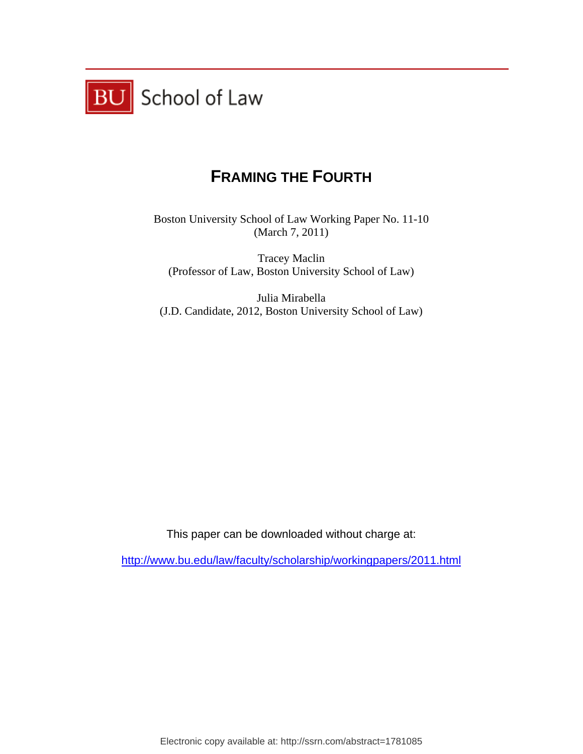

# **FRAMING THE FOURTH**

Boston University School of Law Working Paper No. 11-10 (March 7, 2011)

Tracey Maclin (Professor of Law, Boston University School of Law)

Julia Mirabella (J.D. Candidate, 2012, Boston University School of Law)

This paper can be downloaded without charge at:

http://www.bu.edu/law/faculty/scholarship/workingpapers/2011.html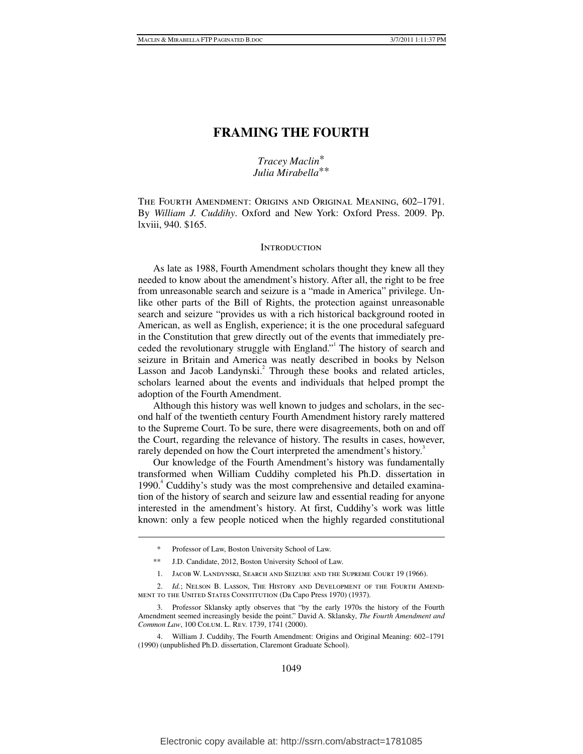# **FRAMING THE FOURTH**

# *Tracey Maclin*\* *Julia Mirabella*\*\*

The Fourth Amendment: Origins and Original Meaning, 602–1791. By *William J. Cuddihy*. Oxford and New York: Oxford Press. 2009. Pp. lxviii, 940. \$165.

# **INTRODUCTION**

As late as 1988, Fourth Amendment scholars thought they knew all they needed to know about the amendment's history. After all, the right to be free from unreasonable search and seizure is a "made in America" privilege. Unlike other parts of the Bill of Rights, the protection against unreasonable search and seizure "provides us with a rich historical background rooted in American, as well as English, experience; it is the one procedural safeguard in the Constitution that grew directly out of the events that immediately preceded the revolutionary struggle with England." The history of search and seizure in Britain and America was neatly described in books by Nelson Lasson and Jacob Landynski.<sup>2</sup> Through these books and related articles, scholars learned about the events and individuals that helped prompt the adoption of the Fourth Amendment.

Although this history was well known to judges and scholars, in the second half of the twentieth century Fourth Amendment history rarely mattered to the Supreme Court. To be sure, there were disagreements, both on and off the Court, regarding the relevance of history. The results in cases, however, rarely depended on how the Court interpreted the amendment's history.<sup>3</sup>

Our knowledge of the Fourth Amendment's history was fundamentally transformed when William Cuddihy completed his Ph.D. dissertation in 1990.<sup>4</sup> Cuddihy's study was the most comprehensive and detailed examination of the history of search and seizure law and essential reading for anyone interested in the amendment's history. At first, Cuddihy's work was little known: only a few people noticed when the highly regarded constitutional

 $\overline{a}$ 

- \*\* J.D. Candidate, 2012, Boston University School of Law.
- 1. Jacob W. Landynski, Search and Seizure and the Supreme Court 19 (1966).

 2. *Id.*; Nelson B. Lasson, The History and Development of the Fourth Amendment to the United States Constitution (Da Capo Press 1970) (1937).

 <sup>\*</sup> Professor of Law, Boston University School of Law.

 <sup>3.</sup> Professor Sklansky aptly observes that "by the early 1970s the history of the Fourth Amendment seemed increasingly beside the point." David A. Sklansky, *The Fourth Amendment and Common Law*, 100 Colum. L. Rev. 1739, 1741 (2000).

 <sup>4.</sup> William J. Cuddihy, The Fourth Amendment: Origins and Original Meaning: 602–1791 (1990) (unpublished Ph.D. dissertation, Claremont Graduate School).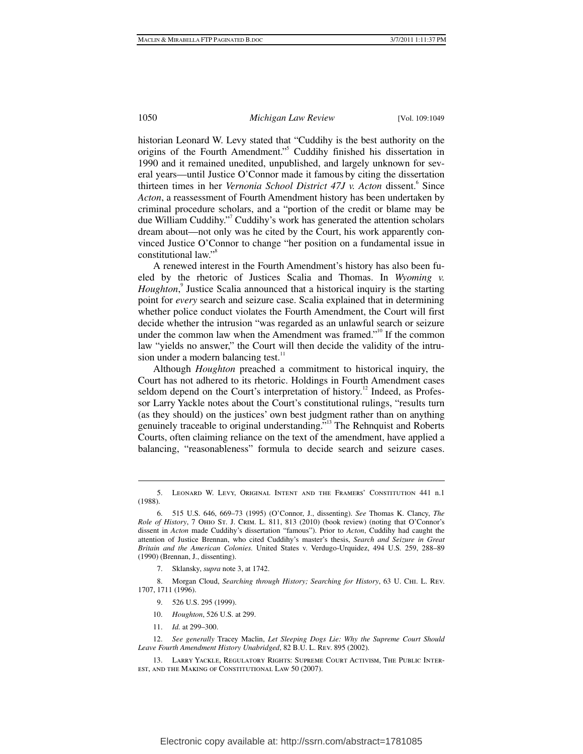historian Leonard W. Levy stated that "Cuddihy is the best authority on the origins of the Fourth Amendment."<sup>5</sup> Cuddihy finished his dissertation in 1990 and it remained unedited, unpublished, and largely unknown for several years—until Justice O'Connor made it famous by citing the dissertation thirteen times in her *Vernonia School District 47J v. Acton* dissent.<sup>6</sup> Since *Acton*, a reassessment of Fourth Amendment history has been undertaken by criminal procedure scholars, and a "portion of the credit or blame may be due William Cuddihy."7 Cuddihy's work has generated the attention scholars dream about—not only was he cited by the Court, his work apparently convinced Justice O'Connor to change "her position on a fundamental issue in constitutional law."<sup>8</sup>

A renewed interest in the Fourth Amendment's history has also been fueled by the rhetoric of Justices Scalia and Thomas. In *Wyoming v.*  Houghton,<sup>9</sup> Justice Scalia announced that a historical inquiry is the starting point for *every* search and seizure case. Scalia explained that in determining whether police conduct violates the Fourth Amendment, the Court will first decide whether the intrusion "was regarded as an unlawful search or seizure under the common law when the Amendment was framed."<sup>10</sup> If the common law "yields no answer," the Court will then decide the validity of the intrusion under a modern balancing test.<sup>11</sup>

Although *Houghton* preached a commitment to historical inquiry, the Court has not adhered to its rhetoric. Holdings in Fourth Amendment cases seldom depend on the Court's interpretation of history.<sup>12</sup> Indeed, as Professor Larry Yackle notes about the Court's constitutional rulings, "results turn (as they should) on the justices' own best judgment rather than on anything genuinely traceable to original understanding."<sup>13</sup> The Rehnquist and Roberts Courts, often claiming reliance on the text of the amendment, have applied a balancing, "reasonableness" formula to decide search and seizure cases.

 8. Morgan Cloud, *Searching through History; Searching for History*, 63 U. Chi. L. Rev. 1707, 1711 (1996).

- 9. 526 U.S. 295 (1999).
- 10. *Houghton*, 526 U.S. at 299.
- 11. *Id.* at 299–300.

 $\overline{a}$ 

 12. *See generally* Tracey Maclin, *Let Sleeping Dogs Lie: Why the Supreme Court Should Leave Fourth Amendment History Unabridged*, 82 B.U. L. Rev. 895 (2002).

 <sup>5.</sup> Leonard W. Levy, Original Intent and the Framers' Constitution 441 n.1 (1988).

 <sup>6. 515</sup> U.S. 646, 669–73 (1995) (O'Connor, J., dissenting). *See* Thomas K. Clancy, *The Role of History*, 7 Ohio St. J. Crim. L. 811, 813 (2010) (book review) (noting that O'Connor's dissent in *Acton* made Cuddihy's dissertation "famous"). Prior to *Acton*, Cuddihy had caught the attention of Justice Brennan, who cited Cuddihy's master's thesis, *Search and Seizure in Great Britain and the American Colonies.* United States v. Verdugo-Urquidez, 494 U.S. 259, 288–89 (1990) (Brennan, J., dissenting).

 <sup>7.</sup> Sklansky, *supra* note 3, at 1742.

 <sup>13.</sup> Larry Yackle, Regulatory Rights: Supreme Court Activism, The Public Interest, and the Making of Constitutional Law 50 (2007).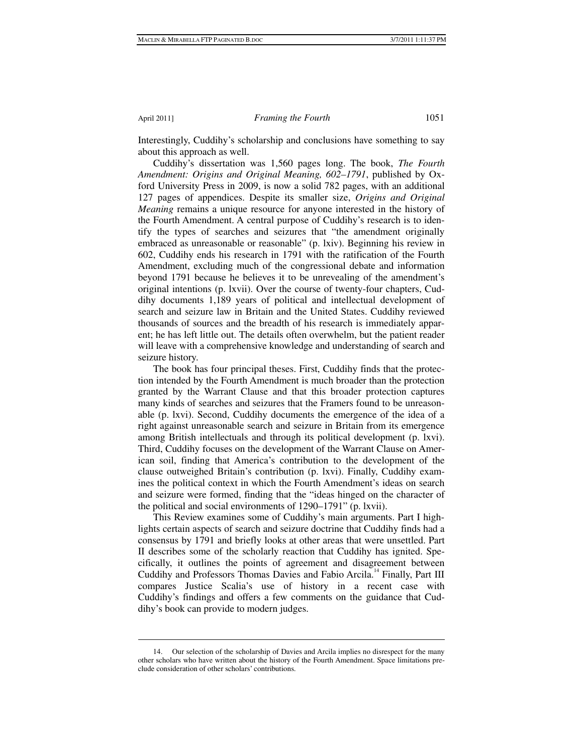1

# April 2011] *Framing the Fourth* 1051

Interestingly, Cuddihy's scholarship and conclusions have something to say about this approach as well.

Cuddihy's dissertation was 1,560 pages long. The book, *The Fourth Amendment: Origins and Original Meaning, 602–1791*, published by Oxford University Press in 2009, is now a solid 782 pages, with an additional 127 pages of appendices. Despite its smaller size, *Origins and Original Meaning* remains a unique resource for anyone interested in the history of the Fourth Amendment. A central purpose of Cuddihy's research is to identify the types of searches and seizures that "the amendment originally embraced as unreasonable or reasonable" (p. lxiv). Beginning his review in 602, Cuddihy ends his research in 1791 with the ratification of the Fourth Amendment, excluding much of the congressional debate and information beyond 1791 because he believes it to be unrevealing of the amendment's original intentions (p. lxvii). Over the course of twenty-four chapters, Cuddihy documents 1,189 years of political and intellectual development of search and seizure law in Britain and the United States. Cuddihy reviewed thousands of sources and the breadth of his research is immediately apparent; he has left little out. The details often overwhelm, but the patient reader will leave with a comprehensive knowledge and understanding of search and seizure history.

The book has four principal theses. First, Cuddihy finds that the protection intended by the Fourth Amendment is much broader than the protection granted by the Warrant Clause and that this broader protection captures many kinds of searches and seizures that the Framers found to be unreasonable (p. lxvi). Second, Cuddihy documents the emergence of the idea of a right against unreasonable search and seizure in Britain from its emergence among British intellectuals and through its political development (p. lxvi). Third, Cuddihy focuses on the development of the Warrant Clause on American soil, finding that America's contribution to the development of the clause outweighed Britain's contribution (p. lxvi). Finally, Cuddihy examines the political context in which the Fourth Amendment's ideas on search and seizure were formed, finding that the "ideas hinged on the character of the political and social environments of 1290–1791" (p. lxvii).

This Review examines some of Cuddihy's main arguments. Part I highlights certain aspects of search and seizure doctrine that Cuddihy finds had a consensus by 1791 and briefly looks at other areas that were unsettled. Part II describes some of the scholarly reaction that Cuddihy has ignited. Specifically, it outlines the points of agreement and disagreement between Cuddihy and Professors Thomas Davies and Fabio Arcila.<sup>14</sup> Finally, Part III compares Justice Scalia's use of history in a recent case with Cuddihy's findings and offers a few comments on the guidance that Cuddihy's book can provide to modern judges.

 <sup>14.</sup> Our selection of the scholarship of Davies and Arcila implies no disrespect for the many other scholars who have written about the history of the Fourth Amendment. Space limitations preclude consideration of other scholars' contributions.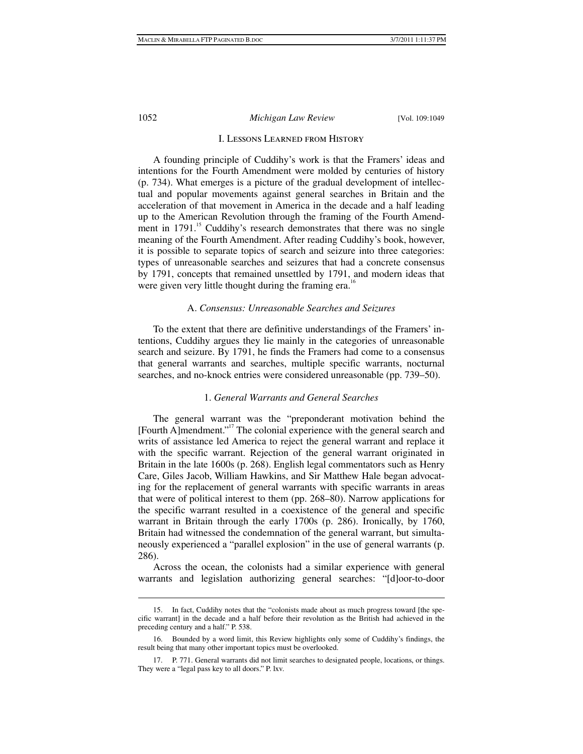# I. Lessons Learned from History

A founding principle of Cuddihy's work is that the Framers' ideas and intentions for the Fourth Amendment were molded by centuries of history (p. 734). What emerges is a picture of the gradual development of intellectual and popular movements against general searches in Britain and the acceleration of that movement in America in the decade and a half leading up to the American Revolution through the framing of the Fourth Amendment in 1791.<sup>15</sup> Cuddihy's research demonstrates that there was no single meaning of the Fourth Amendment. After reading Cuddihy's book, however, it is possible to separate topics of search and seizure into three categories: types of unreasonable searches and seizures that had a concrete consensus by 1791, concepts that remained unsettled by 1791, and modern ideas that were given very little thought during the framing era.<sup>16</sup>

# A. *Consensus: Unreasonable Searches and Seizures*

To the extent that there are definitive understandings of the Framers' intentions, Cuddihy argues they lie mainly in the categories of unreasonable search and seizure. By 1791, he finds the Framers had come to a consensus that general warrants and searches, multiple specific warrants, nocturnal searches, and no-knock entries were considered unreasonable (pp. 739–50).

# 1. *General Warrants and General Searches*

The general warrant was the "preponderant motivation behind the [Fourth A]mendment."17 The colonial experience with the general search and writs of assistance led America to reject the general warrant and replace it with the specific warrant. Rejection of the general warrant originated in Britain in the late 1600s (p. 268). English legal commentators such as Henry Care, Giles Jacob, William Hawkins, and Sir Matthew Hale began advocating for the replacement of general warrants with specific warrants in areas that were of political interest to them (pp. 268–80). Narrow applications for the specific warrant resulted in a coexistence of the general and specific warrant in Britain through the early 1700s (p. 286). Ironically, by 1760, Britain had witnessed the condemnation of the general warrant, but simultaneously experienced a "parallel explosion" in the use of general warrants (p. 286).

Across the ocean, the colonists had a similar experience with general warrants and legislation authorizing general searches: "[d]oor-to-door

 $\overline{a}$ 

 <sup>15.</sup> In fact, Cuddihy notes that the "colonists made about as much progress toward [the specific warrant] in the decade and a half before their revolution as the British had achieved in the preceding century and a half." P. 538.

 <sup>16.</sup> Bounded by a word limit, this Review highlights only some of Cuddihy's findings, the result being that many other important topics must be overlooked.

 <sup>17.</sup> P. 771. General warrants did not limit searches to designated people, locations, or things. They were a "legal pass key to all doors." P. lxv.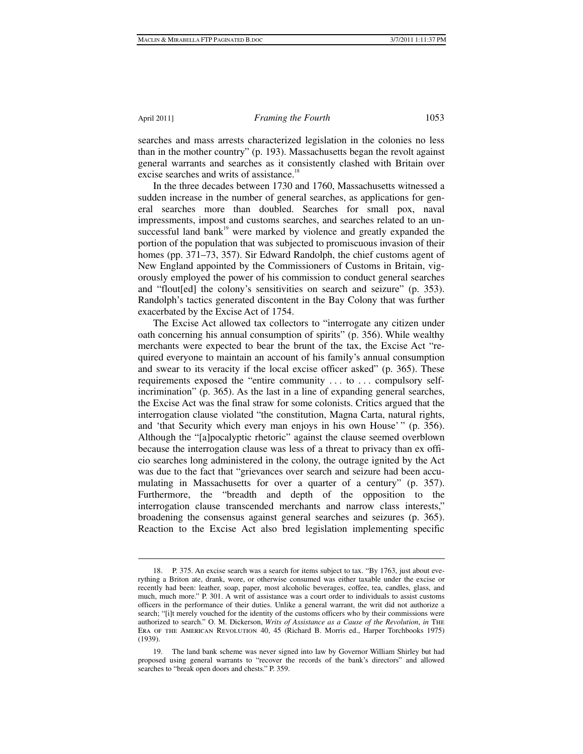1

#### April 2011] *Framing the Fourth* 1053

searches and mass arrests characterized legislation in the colonies no less than in the mother country" (p. 193). Massachusetts began the revolt against general warrants and searches as it consistently clashed with Britain over excise searches and writs of assistance.<sup>18</sup>

In the three decades between 1730 and 1760, Massachusetts witnessed a sudden increase in the number of general searches, as applications for general searches more than doubled. Searches for small pox, naval impressments, impost and customs searches, and searches related to an unsuccessful land bank $19$ <sup>9</sup> were marked by violence and greatly expanded the portion of the population that was subjected to promiscuous invasion of their homes (pp. 371–73, 357). Sir Edward Randolph, the chief customs agent of New England appointed by the Commissioners of Customs in Britain, vigorously employed the power of his commission to conduct general searches and "flout[ed] the colony's sensitivities on search and seizure" (p. 353). Randolph's tactics generated discontent in the Bay Colony that was further exacerbated by the Excise Act of 1754.

The Excise Act allowed tax collectors to "interrogate any citizen under oath concerning his annual consumption of spirits" (p. 356). While wealthy merchants were expected to bear the brunt of the tax, the Excise Act "required everyone to maintain an account of his family's annual consumption and swear to its veracity if the local excise officer asked" (p. 365). These requirements exposed the "entire community . . . to . . . compulsory selfincrimination" (p. 365). As the last in a line of expanding general searches, the Excise Act was the final straw for some colonists. Critics argued that the interrogation clause violated "the constitution, Magna Carta, natural rights, and 'that Security which every man enjoys in his own House' " (p. 356). Although the "[a]pocalyptic rhetoric" against the clause seemed overblown because the interrogation clause was less of a threat to privacy than ex officio searches long administered in the colony, the outrage ignited by the Act was due to the fact that "grievances over search and seizure had been accumulating in Massachusetts for over a quarter of a century" (p. 357). Furthermore, the "breadth and depth of the opposition to the interrogation clause transcended merchants and narrow class interests," broadening the consensus against general searches and seizures (p. 365). Reaction to the Excise Act also bred legislation implementing specific

 <sup>18.</sup> P. 375. An excise search was a search for items subject to tax. "By 1763, just about everything a Briton ate, drank, wore, or otherwise consumed was either taxable under the excise or recently had been: leather, soap, paper, most alcoholic beverages, coffee, tea, candles, glass, and much, much more." P. 301. A writ of assistance was a court order to individuals to assist customs officers in the performance of their duties. Unlike a general warrant, the writ did not authorize a search; "[i]t merely vouched for the identity of the customs officers who by their commissions were authorized to search." O. M. Dickerson, *Writs of Assistance as a Cause of the Revolution*, *in* The Era of the American Revolution 40, 45 (Richard B. Morris ed., Harper Torchbooks 1975) (1939).

 <sup>19.</sup> The land bank scheme was never signed into law by Governor William Shirley but had proposed using general warrants to "recover the records of the bank's directors" and allowed searches to "break open doors and chests." P. 359.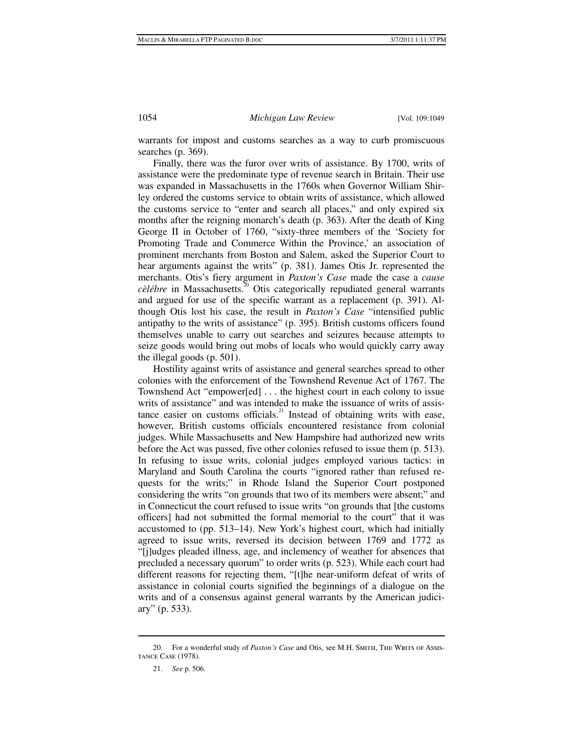warrants for impost and customs searches as a way to curb promiscuous searches (p. 369).

Finally, there was the furor over writs of assistance. By 1700, writs of assistance were the predominate type of revenue search in Britain. Their use was expanded in Massachusetts in the 1760s when Governor William Shirley ordered the customs service to obtain writs of assistance, which allowed the customs service to "enter and search all places," and only expired six months after the reigning monarch's death (p. 363). After the death of King George II in October of 1760, "sixty-three members of the 'Society for Promoting Trade and Commerce Within the Province,' an association of prominent merchants from Boston and Salem, asked the Superior Court to hear arguments against the writs" (p. 381). James Otis Jr. represented the merchants. Otis's fiery argument in *Paxton's Case* made the case a *cause cèlébre* in Massachusetts.<sup>20</sup> Otis categorically repudiated general warrants and argued for use of the specific warrant as a replacement (p. 391). Although Otis lost his case, the result in *Paxton's Case* "intensified public antipathy to the writs of assistance" (p. 395). British customs officers found themselves unable to carry out searches and seizures because attempts to seize goods would bring out mobs of locals who would quickly carry away the illegal goods (p. 501).

Hostility against writs of assistance and general searches spread to other colonies with the enforcement of the Townshend Revenue Act of 1767. The Townshend Act "empower[ed] . . . the highest court in each colony to issue writs of assistance" and was intended to make the issuance of writs of assistance easier on customs officials.<sup>21</sup> Instead of obtaining writs with ease, however, British customs officials encountered resistance from colonial judges. While Massachusetts and New Hampshire had authorized new writs before the Act was passed, five other colonies refused to issue them (p. 513). In refusing to issue writs, colonial judges employed various tactics: in Maryland and South Carolina the courts "ignored rather than refused requests for the writs;" in Rhode Island the Superior Court postponed considering the writs "on grounds that two of its members were absent;" and in Connecticut the court refused to issue writs "on grounds that [the customs officers] had not submitted the formal memorial to the court" that it was accustomed to (pp. 513–14). New York's highest court, which had initially agreed to issue writs, reversed its decision between 1769 and 1772 as "[j]udges pleaded illness, age, and inclemency of weather for absences that precluded a necessary quorum" to order writs (p. 523). While each court had different reasons for rejecting them, "[t]he near-uniform defeat of writs of assistance in colonial courts signified the beginnings of a dialogue on the writs and of a consensus against general warrants by the American judiciary" (p. 533).

<sup>20.</sup> For a wonderful study of *Paxton's Case* and Otis, see M.H. SMITH, THE WRITS OF Assistance Case (1978).

 <sup>21.</sup> *See* p. 506.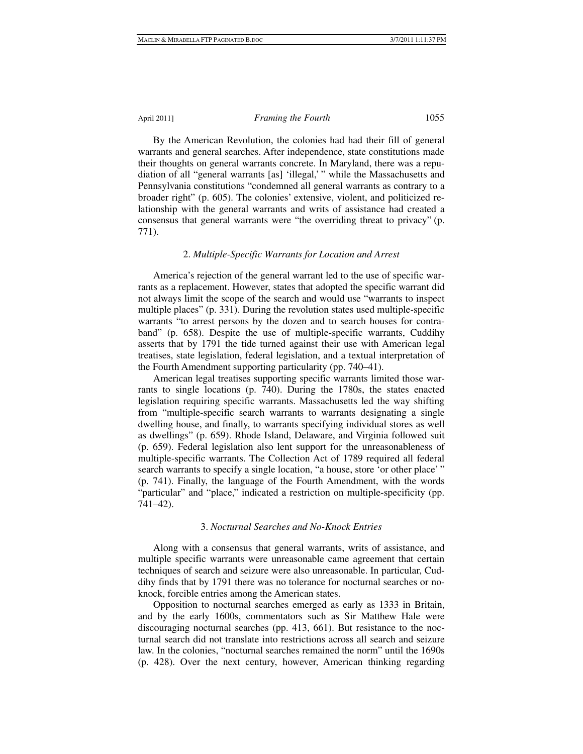By the American Revolution, the colonies had had their fill of general warrants and general searches. After independence, state constitutions made their thoughts on general warrants concrete. In Maryland, there was a repudiation of all "general warrants [as] 'illegal,' " while the Massachusetts and Pennsylvania constitutions "condemned all general warrants as contrary to a broader right" (p. 605). The colonies' extensive, violent, and politicized relationship with the general warrants and writs of assistance had created a consensus that general warrants were "the overriding threat to privacy" (p. 771).

# 2. *Multiple-Specific Warrants for Location and Arrest*

America's rejection of the general warrant led to the use of specific warrants as a replacement. However, states that adopted the specific warrant did not always limit the scope of the search and would use "warrants to inspect multiple places" (p. 331). During the revolution states used multiple-specific warrants "to arrest persons by the dozen and to search houses for contraband" (p. 658). Despite the use of multiple-specific warrants, Cuddihy asserts that by 1791 the tide turned against their use with American legal treatises, state legislation, federal legislation, and a textual interpretation of the Fourth Amendment supporting particularity (pp. 740–41).

American legal treatises supporting specific warrants limited those warrants to single locations (p. 740). During the 1780s, the states enacted legislation requiring specific warrants. Massachusetts led the way shifting from "multiple-specific search warrants to warrants designating a single dwelling house, and finally, to warrants specifying individual stores as well as dwellings" (p. 659). Rhode Island, Delaware, and Virginia followed suit (p. 659). Federal legislation also lent support for the unreasonableness of multiple-specific warrants. The Collection Act of 1789 required all federal search warrants to specify a single location, "a house, store 'or other place' " (p. 741). Finally, the language of the Fourth Amendment, with the words "particular" and "place," indicated a restriction on multiple-specificity (pp. 741–42).

# 3. *Nocturnal Searches and No-Knock Entries*

Along with a consensus that general warrants, writs of assistance, and multiple specific warrants were unreasonable came agreement that certain techniques of search and seizure were also unreasonable. In particular, Cuddihy finds that by 1791 there was no tolerance for nocturnal searches or noknock, forcible entries among the American states.

Opposition to nocturnal searches emerged as early as 1333 in Britain, and by the early 1600s, commentators such as Sir Matthew Hale were discouraging nocturnal searches (pp. 413, 661). But resistance to the nocturnal search did not translate into restrictions across all search and seizure law. In the colonies, "nocturnal searches remained the norm" until the 1690s (p. 428). Over the next century, however, American thinking regarding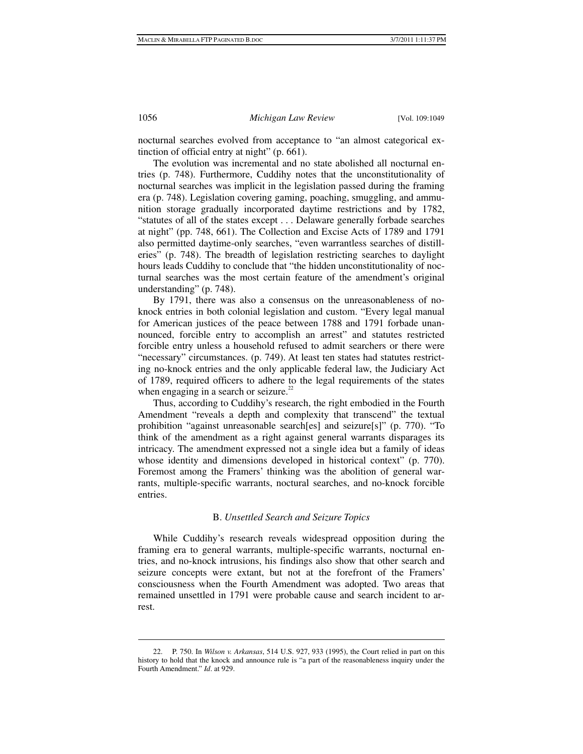nocturnal searches evolved from acceptance to "an almost categorical extinction of official entry at night" (p. 661).

The evolution was incremental and no state abolished all nocturnal entries (p. 748). Furthermore, Cuddihy notes that the unconstitutionality of nocturnal searches was implicit in the legislation passed during the framing era (p. 748). Legislation covering gaming, poaching, smuggling, and ammunition storage gradually incorporated daytime restrictions and by 1782, "statutes of all of the states except . . . Delaware generally forbade searches at night" (pp. 748, 661). The Collection and Excise Acts of 1789 and 1791 also permitted daytime-only searches, "even warrantless searches of distilleries" (p. 748). The breadth of legislation restricting searches to daylight hours leads Cuddihy to conclude that "the hidden unconstitutionality of nocturnal searches was the most certain feature of the amendment's original understanding" (p. 748).

By 1791, there was also a consensus on the unreasonableness of noknock entries in both colonial legislation and custom. "Every legal manual for American justices of the peace between 1788 and 1791 forbade unannounced, forcible entry to accomplish an arrest" and statutes restricted forcible entry unless a household refused to admit searchers or there were "necessary" circumstances. (p. 749). At least ten states had statutes restricting no-knock entries and the only applicable federal law, the Judiciary Act of 1789, required officers to adhere to the legal requirements of the states when engaging in a search or seizure. $22$ 

Thus, according to Cuddihy's research, the right embodied in the Fourth Amendment "reveals a depth and complexity that transcend" the textual prohibition "against unreasonable search[es] and seizure[s]" (p. 770). "To think of the amendment as a right against general warrants disparages its intricacy. The amendment expressed not a single idea but a family of ideas whose identity and dimensions developed in historical context" (p. 770). Foremost among the Framers' thinking was the abolition of general warrants, multiple-specific warrants, noctural searches, and no-knock forcible entries.

# B. *Unsettled Search and Seizure Topics*

While Cuddihy's research reveals widespread opposition during the framing era to general warrants, multiple-specific warrants, nocturnal entries, and no-knock intrusions, his findings also show that other search and seizure concepts were extant, but not at the forefront of the Framers' consciousness when the Fourth Amendment was adopted. Two areas that remained unsettled in 1791 were probable cause and search incident to arrest.

 <sup>22.</sup> P. 750. In *Wilson v. Arkansas*, 514 U.S. 927, 933 (1995), the Court relied in part on this history to hold that the knock and announce rule is "a part of the reasonableness inquiry under the Fourth Amendment." *Id*. at 929.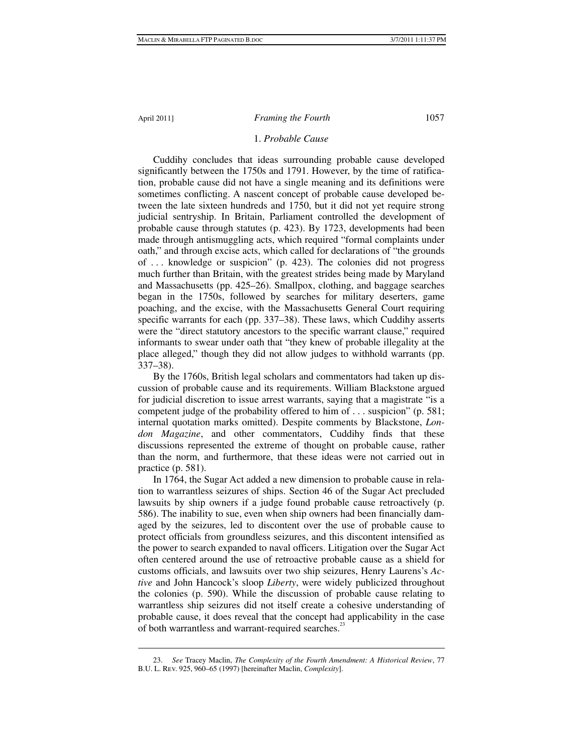1

# April 2011] *Framing the Fourth* 1057

# 1. *Probable Cause*

Cuddihy concludes that ideas surrounding probable cause developed significantly between the 1750s and 1791. However, by the time of ratification, probable cause did not have a single meaning and its definitions were sometimes conflicting. A nascent concept of probable cause developed between the late sixteen hundreds and 1750, but it did not yet require strong judicial sentryship. In Britain, Parliament controlled the development of probable cause through statutes (p. 423). By 1723, developments had been made through antismuggling acts, which required "formal complaints under oath," and through excise acts, which called for declarations of "the grounds of . . . knowledge or suspicion" (p. 423). The colonies did not progress much further than Britain, with the greatest strides being made by Maryland and Massachusetts (pp. 425–26). Smallpox, clothing, and baggage searches began in the 1750s, followed by searches for military deserters, game poaching, and the excise, with the Massachusetts General Court requiring specific warrants for each (pp. 337–38). These laws, which Cuddihy asserts were the "direct statutory ancestors to the specific warrant clause," required informants to swear under oath that "they knew of probable illegality at the place alleged," though they did not allow judges to withhold warrants (pp. 337–38).

By the 1760s, British legal scholars and commentators had taken up discussion of probable cause and its requirements. William Blackstone argued for judicial discretion to issue arrest warrants, saying that a magistrate "is a competent judge of the probability offered to him of . . . suspicion" (p. 581; internal quotation marks omitted). Despite comments by Blackstone, *London Magazine*, and other commentators, Cuddihy finds that these discussions represented the extreme of thought on probable cause, rather than the norm, and furthermore, that these ideas were not carried out in practice (p. 581).

In 1764, the Sugar Act added a new dimension to probable cause in relation to warrantless seizures of ships. Section 46 of the Sugar Act precluded lawsuits by ship owners if a judge found probable cause retroactively (p. 586). The inability to sue, even when ship owners had been financially damaged by the seizures, led to discontent over the use of probable cause to protect officials from groundless seizures, and this discontent intensified as the power to search expanded to naval officers. Litigation over the Sugar Act often centered around the use of retroactive probable cause as a shield for customs officials, and lawsuits over two ship seizures, Henry Laurens's *Active* and John Hancock's sloop *Liberty*, were widely publicized throughout the colonies (p. 590). While the discussion of probable cause relating to warrantless ship seizures did not itself create a cohesive understanding of probable cause, it does reveal that the concept had applicability in the case of both warrantless and warrant-required searches.<sup>23</sup>

 <sup>23.</sup> *See* Tracey Maclin, *The Complexity of the Fourth Amendment: A Historical Review*, 77 B.U. L. Rev. 925, 960–65 (1997) [hereinafter Maclin, *Complexity*].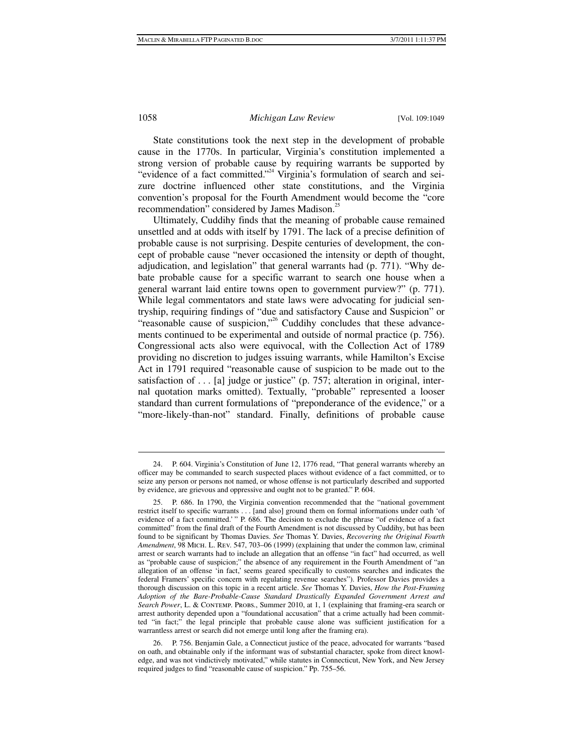$\overline{a}$ 

1058 *Michigan Law Review* [Vol. 109:1049

State constitutions took the next step in the development of probable cause in the 1770s. In particular, Virginia's constitution implemented a strong version of probable cause by requiring warrants be supported by "evidence of a fact committed."<sup>24</sup> Virginia's formulation of search and seizure doctrine influenced other state constitutions, and the Virginia convention's proposal for the Fourth Amendment would become the "core recommendation" considered by James Madison.<sup>25</sup>

Ultimately, Cuddihy finds that the meaning of probable cause remained unsettled and at odds with itself by 1791. The lack of a precise definition of probable cause is not surprising. Despite centuries of development, the concept of probable cause "never occasioned the intensity or depth of thought, adjudication, and legislation" that general warrants had (p. 771). "Why debate probable cause for a specific warrant to search one house when a general warrant laid entire towns open to government purview?" (p. 771). While legal commentators and state laws were advocating for judicial sentryship, requiring findings of "due and satisfactory Cause and Suspicion" or "reasonable cause of suspicion,"<sup>26</sup> Cuddihy concludes that these advancements continued to be experimental and outside of normal practice (p. 756). Congressional acts also were equivocal, with the Collection Act of 1789 providing no discretion to judges issuing warrants, while Hamilton's Excise Act in 1791 required "reasonable cause of suspicion to be made out to the satisfaction of  $\dots$  [a] judge or justice" (p. 757; alteration in original, internal quotation marks omitted). Textually, "probable" represented a looser standard than current formulations of "preponderance of the evidence," or a "more-likely-than-not" standard. Finally, definitions of probable cause

 <sup>24.</sup> P. 604. Virginia's Constitution of June 12, 1776 read, "That general warrants whereby an officer may be commanded to search suspected places without evidence of a fact committed, or to seize any person or persons not named, or whose offense is not particularly described and supported by evidence, are grievous and oppressive and ought not to be granted." P. 604.

 <sup>25.</sup> P. 686. In 1790, the Virginia convention recommended that the "national government restrict itself to specific warrants . . . [and also] ground them on formal informations under oath 'of evidence of a fact committed.' " P. 686. The decision to exclude the phrase "of evidence of a fact committed" from the final draft of the Fourth Amendment is not discussed by Cuddihy, but has been found to be significant by Thomas Davies. *See* Thomas Y. Davies, *Recovering the Original Fourth Amendment*, 98 Mich. L. Rev. 547, 703–06 (1999) (explaining that under the common law, criminal arrest or search warrants had to include an allegation that an offense "in fact" had occurred, as well as "probable cause of suspicion;" the absence of any requirement in the Fourth Amendment of "an allegation of an offense 'in fact,' seems geared specifically to customs searches and indicates the federal Framers' specific concern with regulating revenue searches"). Professor Davies provides a thorough discussion on this topic in a recent article. *See* Thomas Y. Davies, *How the Post-Framing Adoption of the Bare-Probable-Cause Standard Drastically Expanded Government Arrest and Search Power*, L. & Contemp. Probs., Summer 2010, at 1, 1 (explaining that framing-era search or arrest authority depended upon a "foundational accusation" that a crime actually had been committed "in fact;" the legal principle that probable cause alone was sufficient justification for a warrantless arrest or search did not emerge until long after the framing era).

 <sup>26.</sup> P. 756. Benjamin Gale, a Connecticut justice of the peace, advocated for warrants "based on oath, and obtainable only if the informant was of substantial character, spoke from direct knowledge, and was not vindictively motivated," while statutes in Connecticut, New York, and New Jersey required judges to find "reasonable cause of suspicion." Pp. 755–56.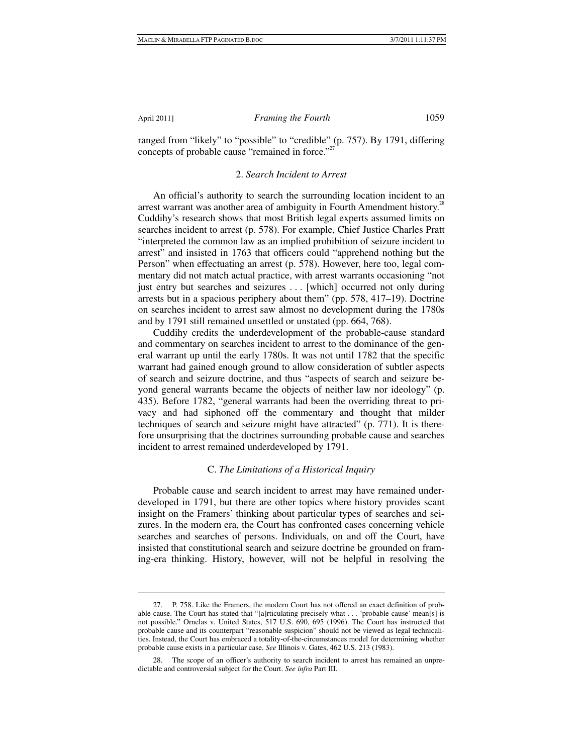1

# April 2011] *Framing the Fourth* 1059

ranged from "likely" to "possible" to "credible" (p. 757). By 1791, differing concepts of probable cause "remained in force."<sup>27</sup>

#### 2. *Search Incident to Arrest*

An official's authority to search the surrounding location incident to an arrest warrant was another area of ambiguity in Fourth Amendment history.<sup>28</sup> Cuddihy's research shows that most British legal experts assumed limits on searches incident to arrest (p. 578). For example, Chief Justice Charles Pratt "interpreted the common law as an implied prohibition of seizure incident to arrest" and insisted in 1763 that officers could "apprehend nothing but the Person" when effectuating an arrest (p. 578). However, here too, legal commentary did not match actual practice, with arrest warrants occasioning "not just entry but searches and seizures . . . [which] occurred not only during arrests but in a spacious periphery about them" (pp. 578, 417–19). Doctrine on searches incident to arrest saw almost no development during the 1780s and by 1791 still remained unsettled or unstated (pp. 664, 768).

Cuddihy credits the underdevelopment of the probable-cause standard and commentary on searches incident to arrest to the dominance of the general warrant up until the early 1780s. It was not until 1782 that the specific warrant had gained enough ground to allow consideration of subtler aspects of search and seizure doctrine, and thus "aspects of search and seizure beyond general warrants became the objects of neither law nor ideology" (p. 435). Before 1782, "general warrants had been the overriding threat to privacy and had siphoned off the commentary and thought that milder techniques of search and seizure might have attracted" (p. 771). It is therefore unsurprising that the doctrines surrounding probable cause and searches incident to arrest remained underdeveloped by 1791.

# C. *The Limitations of a Historical Inquiry*

Probable cause and search incident to arrest may have remained underdeveloped in 1791, but there are other topics where history provides scant insight on the Framers' thinking about particular types of searches and seizures. In the modern era, the Court has confronted cases concerning vehicle searches and searches of persons. Individuals, on and off the Court, have insisted that constitutional search and seizure doctrine be grounded on framing-era thinking. History, however, will not be helpful in resolving the

 <sup>27.</sup> P. 758. Like the Framers, the modern Court has not offered an exact definition of probable cause. The Court has stated that "[a]rticulating precisely what . . . 'probable cause' mean[s] is not possible." Ornelas v. United States, 517 U.S. 690, 695 (1996). The Court has instructed that probable cause and its counterpart "reasonable suspicion" should not be viewed as legal technicalities. Instead, the Court has embraced a totality-of-the-circumstances model for determining whether probable cause exists in a particular case. *See* Illinois v. Gates, 462 U.S. 213 (1983).

 <sup>28.</sup> The scope of an officer's authority to search incident to arrest has remained an unpredictable and controversial subject for the Court. *See infra* Part III.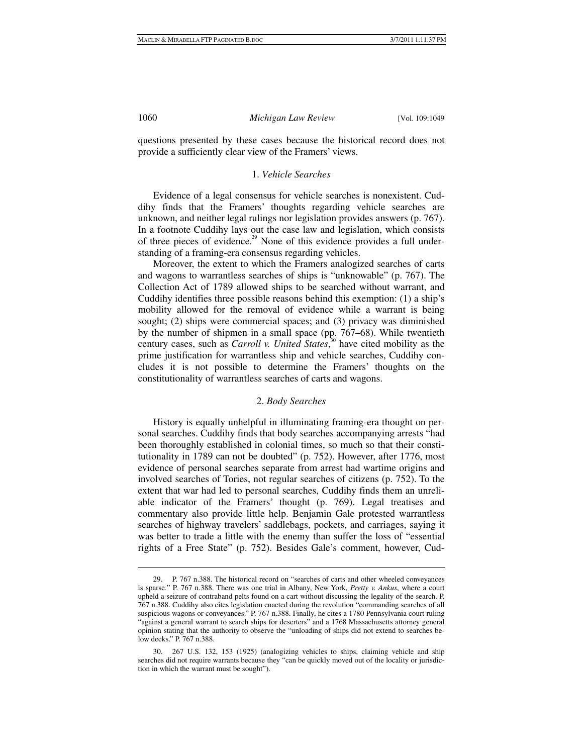questions presented by these cases because the historical record does not provide a sufficiently clear view of the Framers' views.

# 1. *Vehicle Searches*

Evidence of a legal consensus for vehicle searches is nonexistent. Cuddihy finds that the Framers' thoughts regarding vehicle searches are unknown, and neither legal rulings nor legislation provides answers (p. 767). In a footnote Cuddihy lays out the case law and legislation, which consists of three pieces of evidence.<sup>29</sup> None of this evidence provides a full understanding of a framing-era consensus regarding vehicles.

Moreover, the extent to which the Framers analogized searches of carts and wagons to warrantless searches of ships is "unknowable" (p. 767). The Collection Act of 1789 allowed ships to be searched without warrant, and Cuddihy identifies three possible reasons behind this exemption: (1) a ship's mobility allowed for the removal of evidence while a warrant is being sought; (2) ships were commercial spaces; and (3) privacy was diminished by the number of shipmen in a small space (pp. 767–68). While twentieth century cases, such as *Carroll v. United States*, 30 have cited mobility as the prime justification for warrantless ship and vehicle searches, Cuddihy concludes it is not possible to determine the Framers' thoughts on the constitutionality of warrantless searches of carts and wagons.

#### 2. *Body Searches*

History is equally unhelpful in illuminating framing-era thought on personal searches. Cuddihy finds that body searches accompanying arrests "had been thoroughly established in colonial times, so much so that their constitutionality in 1789 can not be doubted" (p. 752). However, after 1776, most evidence of personal searches separate from arrest had wartime origins and involved searches of Tories, not regular searches of citizens (p. 752). To the extent that war had led to personal searches, Cuddihy finds them an unreliable indicator of the Framers' thought (p. 769). Legal treatises and commentary also provide little help. Benjamin Gale protested warrantless searches of highway travelers' saddlebags, pockets, and carriages, saying it was better to trade a little with the enemy than suffer the loss of "essential rights of a Free State" (p. 752). Besides Gale's comment, however, Cud-

 <sup>29.</sup> P. 767 n.388. The historical record on "searches of carts and other wheeled conveyances is sparse*.*" P. 767 n.388. There was one trial in Albany, New York, *Pretty v. Ankus*, where a court upheld a seizure of contraband pelts found on a cart without discussing the legality of the search. P. 767 n.388. Cuddihy also cites legislation enacted during the revolution "commanding searches of all suspicious wagons or conveyances." P. 767 n.388. Finally, he cites a 1780 Pennsylvania court ruling "against a general warrant to search ships for deserters" and a 1768 Massachusetts attorney general opinion stating that the authority to observe the "unloading of ships did not extend to searches below decks." P. 767 n.388.

 <sup>30. 267</sup> U.S. 132, 153 (1925) (analogizing vehicles to ships, claiming vehicle and ship searches did not require warrants because they "can be quickly moved out of the locality or jurisdiction in which the warrant must be sought").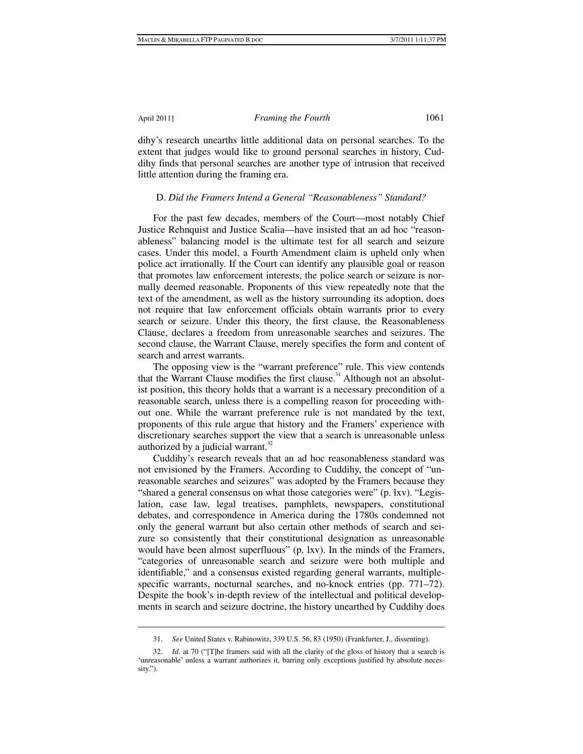1

# April 2011] *Framing the Fourth* 1061

dihy's research unearths little additional data on personal searches. To the extent that judges would like to ground personal searches in history, Cuddihy finds that personal searches are another type of intrusion that received little attention during the framing era.

# D. *Did the Framers Intend a General "Reasonableness" Standard?*

For the past few decades, members of the Court—most notably Chief Justice Rehnquist and Justice Scalia—have insisted that an ad hoc "reasonableness" balancing model is the ultimate test for all search and seizure cases. Under this model, a Fourth Amendment claim is upheld only when police act irrationally. If the Court can identify any plausible goal or reason that promotes law enforcement interests, the police search or seizure is normally deemed reasonable. Proponents of this view repeatedly note that the text of the amendment, as well as the history surrounding its adoption, does not require that law enforcement officials obtain warrants prior to every search or seizure. Under this theory, the first clause, the Reasonableness Clause, declares a freedom from unreasonable searches and seizures. The second clause, the Warrant Clause, merely specifies the form and content of search and arrest warrants.

The opposing view is the "warrant preference" rule. This view contends that the Warrant Clause modifies the first clause.<sup>31</sup> Although not an absolutist position, this theory holds that a warrant is a necessary precondition of a reasonable search, unless there is a compelling reason for proceeding without one. While the warrant preference rule is not mandated by the text, proponents of this rule argue that history and the Framers' experience with discretionary searches support the view that a search is unreasonable unless authorized by a judicial warrant. $32$ 

Cuddihy's research reveals that an ad hoc reasonableness standard was not envisioned by the Framers. According to Cuddihy, the concept of "unreasonable searches and seizures" was adopted by the Framers because they "shared a general consensus on what those categories were" (p. lxv). "Legislation, case law, legal treatises, pamphlets, newspapers, constitutional debates, and correspondence in America during the 1780s condemned not only the general warrant but also certain other methods of search and seizure so consistently that their constitutional designation as unreasonable would have been almost superfluous" (p. lxv). In the minds of the Framers, "categories of unreasonable search and seizure were both multiple and identifiable," and a consensus existed regarding general warrants, multiplespecific warrants, nocturnal searches, and no-knock entries (pp. 771–72). Despite the book's in-depth review of the intellectual and political developments in search and seizure doctrine, the history unearthed by Cuddihy does

 <sup>31.</sup> *See* United States v. Rabinowitz, 339 U.S. 56, 83 (1950) (Frankfurter, J., dissenting).

 <sup>32.</sup> *Id.* at 70 ("[T]he framers said with all the clarity of the gloss of history that a search is 'unreasonable' unless a warrant authorizes it, barring only exceptions justified by absolute necessity.").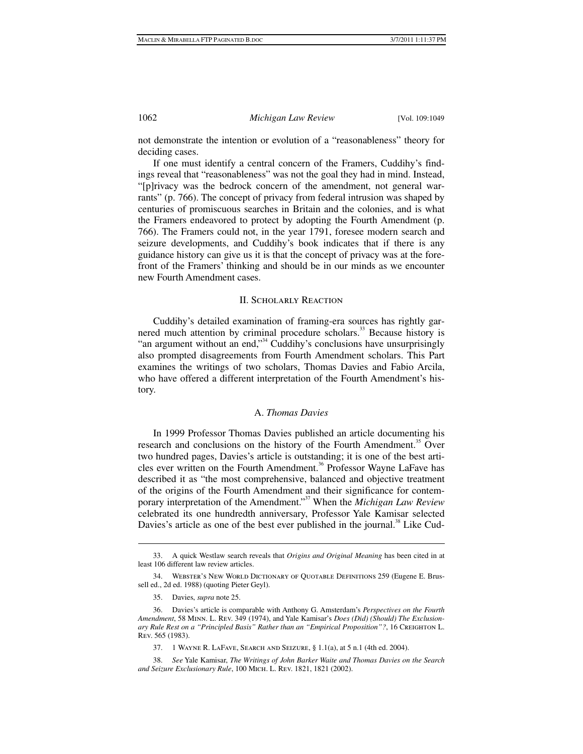not demonstrate the intention or evolution of a "reasonableness" theory for deciding cases.

If one must identify a central concern of the Framers, Cuddihy's findings reveal that "reasonableness" was not the goal they had in mind. Instead, "[p]rivacy was the bedrock concern of the amendment, not general warrants" (p. 766). The concept of privacy from federal intrusion was shaped by centuries of promiscuous searches in Britain and the colonies, and is what the Framers endeavored to protect by adopting the Fourth Amendment (p. 766). The Framers could not, in the year 1791, foresee modern search and seizure developments, and Cuddihy's book indicates that if there is any guidance history can give us it is that the concept of privacy was at the forefront of the Framers' thinking and should be in our minds as we encounter new Fourth Amendment cases.

# II. Scholarly Reaction

Cuddihy's detailed examination of framing-era sources has rightly garnered much attention by criminal procedure scholars.<sup>33</sup> Because history is "an argument without an end,"<sup>34</sup> Cuddihy's conclusions have unsurprisingly also prompted disagreements from Fourth Amendment scholars. This Part examines the writings of two scholars, Thomas Davies and Fabio Arcila, who have offered a different interpretation of the Fourth Amendment's history.

# A. *Thomas Davies*

In 1999 Professor Thomas Davies published an article documenting his research and conclusions on the history of the Fourth Amendment.<sup>35</sup> Over two hundred pages, Davies's article is outstanding; it is one of the best articles ever written on the Fourth Amendment.<sup>36</sup> Professor Wayne LaFave has described it as "the most comprehensive, balanced and objective treatment of the origins of the Fourth Amendment and their significance for contemporary interpretation of the Amendment."37 When the *Michigan Law Review* celebrated its one hundredth anniversary, Professor Yale Kamisar selected Davies's article as one of the best ever published in the journal.<sup>38</sup> Like Cud-

 $\overline{a}$ 

 <sup>33.</sup> A quick Westlaw search reveals that *Origins and Original Meaning* has been cited in at least 106 different law review articles.

 <sup>34.</sup> Webster's New World Dictionary of Quotable Definitions 259 (Eugene E. Brussell ed., 2d ed. 1988) (quoting Pieter Geyl).

 <sup>35.</sup> Davies, *supra* note 25.

 <sup>36.</sup> Davies's article is comparable with Anthony G. Amsterdam's *Perspectives on the Fourth Amendment*, 58 Minn. L. Rev. 349 (1974), and Yale Kamisar's *Does (Did) (Should) The Exclusionary Rule Rest on a "Principled Basis" Rather than an "Empirical Proposition"?*, 16 CREIGHTON L. Rev. 565 (1983).

 <sup>37. 1</sup> Wayne R. LaFave, Search and Seizure, § 1.1(a), at 5 n.1 (4th ed. 2004).

 <sup>38.</sup> *See* Yale Kamisar, *The Writings of John Barker Waite and Thomas Davies on the Search and Seizure Exclusionary Rule*, 100 Mich. L. Rev. 1821, 1821 (2002).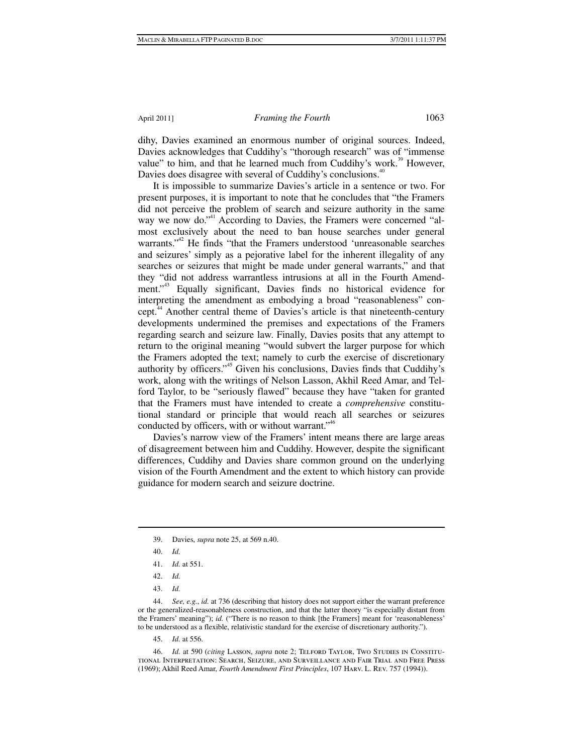dihy, Davies examined an enormous number of original sources. Indeed, Davies acknowledges that Cuddihy's "thorough research" was of "immense value" to him, and that he learned much from Cuddihy's work.<sup>39</sup> However, Davies does disagree with several of Cuddihy's conclusions.<sup>40</sup>

It is impossible to summarize Davies's article in a sentence or two. For present purposes, it is important to note that he concludes that "the Framers did not perceive the problem of search and seizure authority in the same way we now do."<sup>41</sup> According to Davies, the Framers were concerned "almost exclusively about the need to ban house searches under general warrants."<sup>42</sup> He finds "that the Framers understood 'unreasonable searches and seizures' simply as a pejorative label for the inherent illegality of any searches or seizures that might be made under general warrants," and that they "did not address warrantless intrusions at all in the Fourth Amendment."<sup>43</sup> Equally significant, Davies finds no historical evidence for interpreting the amendment as embodying a broad "reasonableness" concept.44 Another central theme of Davies's article is that nineteenth-century developments undermined the premises and expectations of the Framers regarding search and seizure law. Finally, Davies posits that any attempt to return to the original meaning "would subvert the larger purpose for which the Framers adopted the text; namely to curb the exercise of discretionary authority by officers."45 Given his conclusions, Davies finds that Cuddihy's work, along with the writings of Nelson Lasson, Akhil Reed Amar, and Telford Taylor, to be "seriously flawed" because they have "taken for granted that the Framers must have intended to create a *comprehensive* constitutional standard or principle that would reach all searches or seizures conducted by officers, with or without warrant."<sup>46</sup>

Davies's narrow view of the Framers' intent means there are large areas of disagreement between him and Cuddihy. However, despite the significant differences, Cuddihy and Davies share common ground on the underlying vision of the Fourth Amendment and the extent to which history can provide guidance for modern search and seizure doctrine.

1

 44. *See, e.g.*, *id.* at 736 (describing that history does not support either the warrant preference or the generalized-reasonableness construction, and that the latter theory "is especially distant from the Framers' meaning"); *id.* ("There is no reason to think [the Framers] meant for 'reasonableness' to be understood as a flexible, relativistic standard for the exercise of discretionary authority.").

45. *Id.* at 556.

 46. *Id.* at 590 (*citing* Lasson, *supra* note 2; Telford Taylor, Two Studies in Constitutional Interpretation: Search, Seizure, and Surveillance and Fair Trial and Free Press (1969); Akhil Reed Amar, *Fourth Amendment First Principles*, 107 Harv. L. Rev. 757 (1994)).

 <sup>39.</sup> Davies, *supra* note 25, at 569 n.40.

 <sup>40.</sup> *Id.*

 <sup>41.</sup> *Id.* at 551.

 <sup>42.</sup> *Id.*

 <sup>43.</sup> *Id.*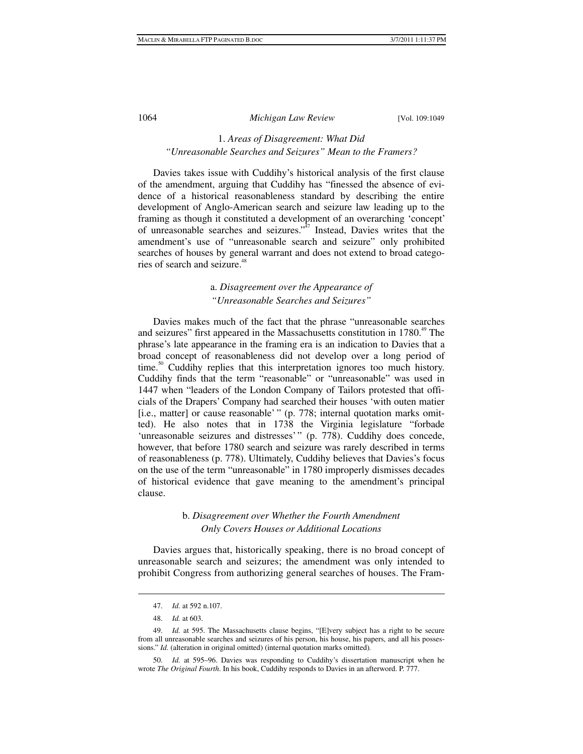# 1. *Areas of Disagreement: What Did "Unreasonable Searches and Seizures" Mean to the Framers?*

Davies takes issue with Cuddihy's historical analysis of the first clause of the amendment, arguing that Cuddihy has "finessed the absence of evidence of a historical reasonableness standard by describing the entire development of Anglo-American search and seizure law leading up to the framing as though it constituted a development of an overarching 'concept' of unreasonable searches and seizures."<sup>37</sup> Instead, Davies writes that the amendment's use of "unreasonable search and seizure" only prohibited searches of houses by general warrant and does not extend to broad categories of search and seizure.<sup>48</sup>

# a. *Disagreement over the Appearance of "Unreasonable Searches and Seizures"*

Davies makes much of the fact that the phrase "unreasonable searches and seizures" first appeared in the Massachusetts constitution in 1780.<sup>49</sup> The phrase's late appearance in the framing era is an indication to Davies that a broad concept of reasonableness did not develop over a long period of  $time<sup>50</sup>$  Cuddihy replies that this interpretation ignores too much history. Cuddihy finds that the term "reasonable" or "unreasonable" was used in 1447 when "leaders of the London Company of Tailors protested that officials of the Drapers' Company had searched their houses 'with outen matier [i.e., matter] or cause reasonable' " (p. 778; internal quotation marks omitted). He also notes that in 1738 the Virginia legislature "forbade 'unreasonable seizures and distresses'" (p. 778). Cuddihy does concede, however, that before 1780 search and seizure was rarely described in terms of reasonableness (p. 778). Ultimately, Cuddihy believes that Davies's focus on the use of the term "unreasonable" in 1780 improperly dismisses decades of historical evidence that gave meaning to the amendment's principal clause.

# b. *Disagreement over Whether the Fourth Amendment Only Covers Houses or Additional Locations*

Davies argues that, historically speaking, there is no broad concept of unreasonable search and seizures; the amendment was only intended to prohibit Congress from authorizing general searches of houses. The Fram-

 <sup>47.</sup> *Id.* at 592 n.107.

 <sup>48.</sup> *Id.* at 603.

 <sup>49.</sup> *Id.* at 595. The Massachusetts clause begins, "[E]very subject has a right to be secure from all unreasonable searches and seizures of his person, his house, his papers, and all his possessions." *Id.* (alteration in original omitted) (internal quotation marks omitted)*.*

 <sup>50.</sup> *Id.* at 595–96. Davies was responding to Cuddihy's dissertation manuscript when he wrote *The Original Fourth*. In his book, Cuddihy responds to Davies in an afterword. P. 777.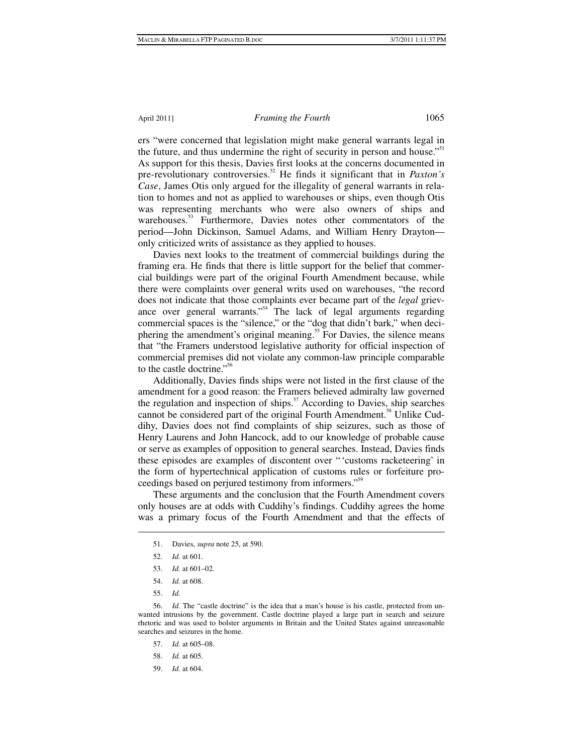ers "were concerned that legislation might make general warrants legal in the future, and thus undermine the right of security in person and house."<sup>51</sup> As support for this thesis, Davies first looks at the concerns documented in pre-revolutionary controversies.<sup>52</sup> He finds it significant that in *Paxton's Case*, James Otis only argued for the illegality of general warrants in relation to homes and not as applied to warehouses or ships, even though Otis was representing merchants who were also owners of ships and warehouses.<sup>53</sup> Furthermore, Davies notes other commentators of the period—John Dickinson, Samuel Adams, and William Henry Drayton only criticized writs of assistance as they applied to houses.

Davies next looks to the treatment of commercial buildings during the framing era. He finds that there is little support for the belief that commercial buildings were part of the original Fourth Amendment because, while there were complaints over general writs used on warehouses, "the record does not indicate that those complaints ever became part of the *legal* grievance over general warrants."<sup>54</sup> The lack of legal arguments regarding commercial spaces is the "silence," or the "dog that didn't bark," when deciphering the amendment's original meaning.<sup>55</sup> For Davies, the silence means that "the Framers understood legislative authority for official inspection of commercial premises did not violate any common-law principle comparable to the castle doctrine."<sup>56</sup>

Additionally, Davies finds ships were not listed in the first clause of the amendment for a good reason: the Framers believed admiralty law governed the regulation and inspection of ships.<sup>57</sup> According to Davies, ship searches cannot be considered part of the original Fourth Amendment.<sup>58</sup> Unlike Cuddihy, Davies does not find complaints of ship seizures, such as those of Henry Laurens and John Hancock, add to our knowledge of probable cause or serve as examples of opposition to general searches. Instead, Davies finds these episodes are examples of discontent over " 'customs racketeering' in the form of hypertechnical application of customs rules or forfeiture proceedings based on perjured testimony from informers."59

These arguments and the conclusion that the Fourth Amendment covers only houses are at odds with Cuddihy's findings. Cuddihy agrees the home was a primary focus of the Fourth Amendment and that the effects of

55. *Id.*

 $\overline{a}$ 

59. *Id.* at 604.

 <sup>51.</sup> Davies, *supra* note 25, at 590.

 <sup>52.</sup> *Id.* at 601.

 <sup>53.</sup> *Id.* at 601–02.

 <sup>54.</sup> *Id.* at 608.

 <sup>56.</sup> *Id.* The "castle doctrine" is the idea that a man's house is his castle, protected from unwanted intrusions by the government. Castle doctrine played a large part in search and seizure rhetoric and was used to bolster arguments in Britain and the United States against unreasonable searches and seizures in the home.

 <sup>57.</sup> *Id.* at 605–08.

 <sup>58.</sup> *Id.* at 605.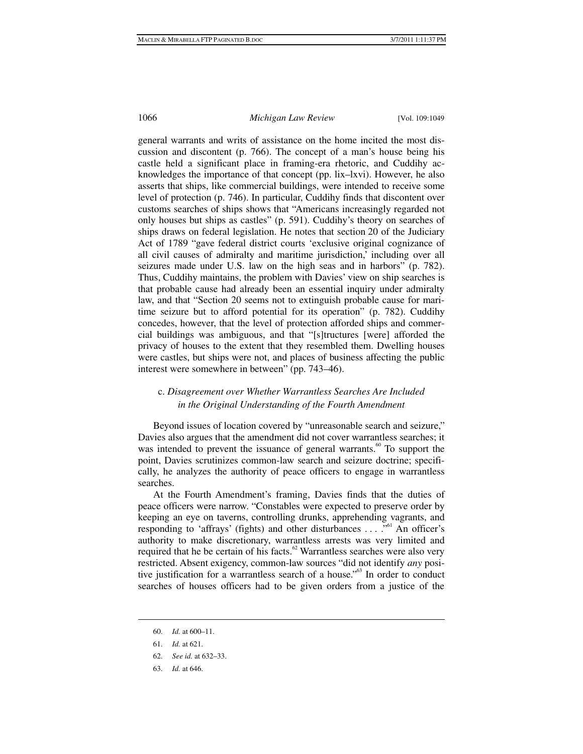general warrants and writs of assistance on the home incited the most discussion and discontent (p. 766). The concept of a man's house being his castle held a significant place in framing-era rhetoric, and Cuddihy acknowledges the importance of that concept (pp. lix–lxvi). However, he also asserts that ships, like commercial buildings, were intended to receive some level of protection (p. 746). In particular, Cuddihy finds that discontent over customs searches of ships shows that "Americans increasingly regarded not only houses but ships as castles" (p. 591). Cuddihy's theory on searches of ships draws on federal legislation. He notes that section 20 of the Judiciary Act of 1789 "gave federal district courts 'exclusive original cognizance of all civil causes of admiralty and maritime jurisdiction,' including over all seizures made under U.S. law on the high seas and in harbors" (p. 782). Thus, Cuddihy maintains, the problem with Davies' view on ship searches is that probable cause had already been an essential inquiry under admiralty law, and that "Section 20 seems not to extinguish probable cause for maritime seizure but to afford potential for its operation" (p. 782). Cuddihy concedes, however, that the level of protection afforded ships and commercial buildings was ambiguous, and that "[s]tructures [were] afforded the privacy of houses to the extent that they resembled them. Dwelling houses were castles, but ships were not, and places of business affecting the public interest were somewhere in between" (pp. 743–46).

# c. *Disagreement over Whether Warrantless Searches Are Included in the Original Understanding of the Fourth Amendment*

Beyond issues of location covered by "unreasonable search and seizure," Davies also argues that the amendment did not cover warrantless searches; it was intended to prevent the issuance of general warrants.<sup>60</sup> To support the point, Davies scrutinizes common-law search and seizure doctrine; specifically, he analyzes the authority of peace officers to engage in warrantless searches.

At the Fourth Amendment's framing, Davies finds that the duties of peace officers were narrow. "Constables were expected to preserve order by keeping an eye on taverns, controlling drunks, apprehending vagrants, and responding to 'affrays' (fights) and other disturbances  $\dots$  ... <sup>561</sup> An officer's authority to make discretionary, warrantless arrests was very limited and required that he be certain of his facts. $62$  Warrantless searches were also very restricted. Absent exigency, common-law sources "did not identify *any* positive justification for a warrantless search of a house."<sup>63</sup> In order to conduct searches of houses officers had to be given orders from a justice of the

 <sup>60.</sup> *Id.* at 600–11.

 <sup>61.</sup> *Id.* at 621.

 <sup>62.</sup> *See id.* at 632–33.

 <sup>63.</sup> *Id.* at 646.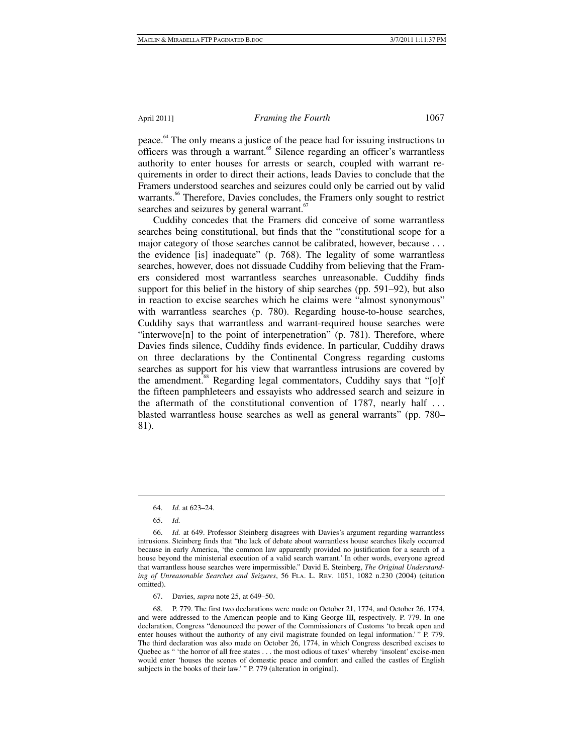peace.64 The only means a justice of the peace had for issuing instructions to officers was through a warrant.<sup>65</sup> Silence regarding an officer's warrantless authority to enter houses for arrests or search, coupled with warrant requirements in order to direct their actions, leads Davies to conclude that the Framers understood searches and seizures could only be carried out by valid warrants.<sup>66</sup> Therefore, Davies concludes, the Framers only sought to restrict searches and seizures by general warrant.<sup>67</sup>

Cuddihy concedes that the Framers did conceive of some warrantless searches being constitutional, but finds that the "constitutional scope for a major category of those searches cannot be calibrated, however, because . . . the evidence [is] inadequate" (p. 768). The legality of some warrantless searches, however, does not dissuade Cuddihy from believing that the Framers considered most warrantless searches unreasonable. Cuddihy finds support for this belief in the history of ship searches (pp. 591–92), but also in reaction to excise searches which he claims were "almost synonymous" with warrantless searches (p. 780). Regarding house-to-house searches, Cuddihy says that warrantless and warrant-required house searches were "interwove $[n]$  to the point of interpenetration" (p. 781). Therefore, where Davies finds silence, Cuddihy finds evidence. In particular, Cuddihy draws on three declarations by the Continental Congress regarding customs searches as support for his view that warrantless intrusions are covered by the amendment.<sup>88</sup> Regarding legal commentators, Cuddihy says that "[o]f the fifteen pamphleteers and essayists who addressed search and seizure in the aftermath of the constitutional convention of 1787, nearly half . . . blasted warrantless house searches as well as general warrants" (pp. 780– 81).

 <sup>64.</sup> *Id.* at 623–24.

 <sup>65.</sup> *Id.*

 <sup>66.</sup> *Id.* at 649. Professor Steinberg disagrees with Davies's argument regarding warrantless intrusions. Steinberg finds that "the lack of debate about warrantless house searches likely occurred because in early America, 'the common law apparently provided no justification for a search of a house beyond the ministerial execution of a valid search warrant.' In other words, everyone agreed that warrantless house searches were impermissible." David E. Steinberg, *The Original Understanding of Unreasonable Searches and Seizures*, 56 Fla. L. Rev. 1051, 1082 n.230 (2004) (citation omitted).

 <sup>67.</sup> Davies, *supra* note 25, at 649–50.

 <sup>68.</sup> P. 779. The first two declarations were made on October 21, 1774, and October 26, 1774, and were addressed to the American people and to King George III, respectively. P. 779. In one declaration, Congress "denounced the power of the Commissioners of Customs 'to break open and enter houses without the authority of any civil magistrate founded on legal information.' " P. 779. The third declaration was also made on October 26, 1774, in which Congress described excises to Quebec as " 'the horror of all free states . . . the most odious of taxes' whereby 'insolent' excise-men would enter 'houses the scenes of domestic peace and comfort and called the castles of English subjects in the books of their law.' " P. 779 (alteration in original).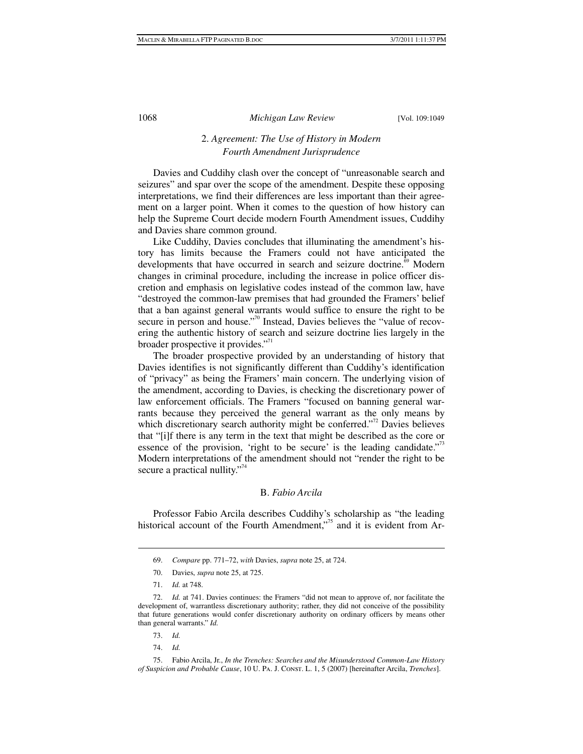# 2. *Agreement: The Use of History in Modern Fourth Amendment Jurisprudence*

Davies and Cuddihy clash over the concept of "unreasonable search and seizures" and spar over the scope of the amendment. Despite these opposing interpretations, we find their differences are less important than their agreement on a larger point. When it comes to the question of how history can help the Supreme Court decide modern Fourth Amendment issues, Cuddihy and Davies share common ground.

Like Cuddihy, Davies concludes that illuminating the amendment's history has limits because the Framers could not have anticipated the developments that have occurred in search and seizure doctrine.<sup>69</sup> Modern changes in criminal procedure, including the increase in police officer discretion and emphasis on legislative codes instead of the common law, have "destroyed the common-law premises that had grounded the Framers' belief that a ban against general warrants would suffice to ensure the right to be secure in person and house."<sup>70</sup> Instead, Davies believes the "value of recovering the authentic history of search and seizure doctrine lies largely in the broader prospective it provides."<sup>71</sup>

The broader prospective provided by an understanding of history that Davies identifies is not significantly different than Cuddihy's identification of "privacy" as being the Framers' main concern. The underlying vision of the amendment, according to Davies, is checking the discretionary power of law enforcement officials. The Framers "focused on banning general warrants because they perceived the general warrant as the only means by which discretionary search authority might be conferred."<sup>72</sup> Davies believes that "[i]f there is any term in the text that might be described as the core or essence of the provision, 'right to be secure' is the leading candidate."<sup>3</sup> Modern interpretations of the amendment should not "render the right to be secure a practical nullity."<sup> $\frac{1}{4}$ </sup>

# B. *Fabio Arcila*

Professor Fabio Arcila describes Cuddihy's scholarship as "the leading historical account of the Fourth Amendment,"<sup>5</sup> and it is evident from Ar-

- 73. *Id.*
- 74. *Id.*

 <sup>69.</sup> *Compare* pp. 771–72, *with* Davies, *supra* note 25, at 724.

 <sup>70.</sup> Davies, *supra* note 25, at 725.

 <sup>71.</sup> *Id.* at 748.

 <sup>72.</sup> *Id.* at 741. Davies continues: the Framers "did not mean to approve of, nor facilitate the development of, warrantless discretionary authority; rather, they did not conceive of the possibility that future generations would confer discretionary authority on ordinary officers by means other than general warrants." *Id.*

 <sup>75.</sup> Fabio Arcila, Jr., *In the Trenches: Searches and the Misunderstood Common-Law History of Suspicion and Probable Cause*, 10 U. Pa. J. Const. L. 1, 5 (2007) [hereinafter Arcila, *Trenches*].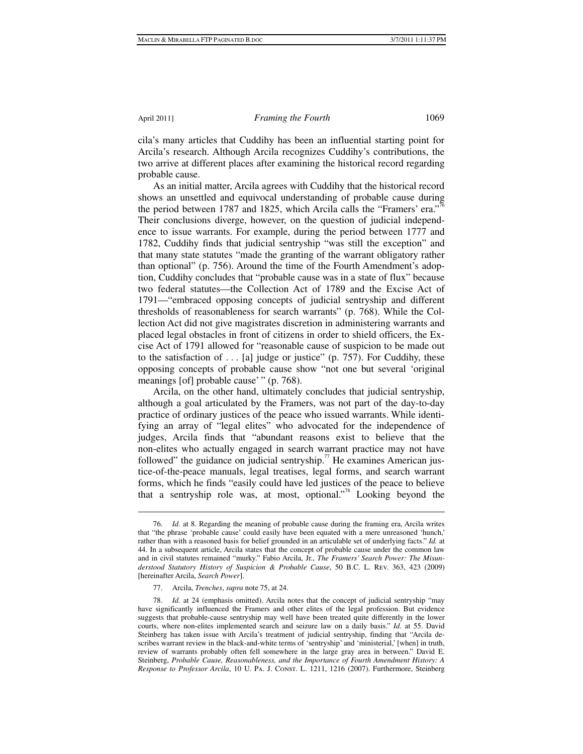$\overline{a}$ 

#### April 2011] *Framing the Fourth* 1069

cila's many articles that Cuddihy has been an influential starting point for Arcila's research. Although Arcila recognizes Cuddihy's contributions, the two arrive at different places after examining the historical record regarding probable cause.

As an initial matter, Arcila agrees with Cuddihy that the historical record shows an unsettled and equivocal understanding of probable cause during the period between 1787 and 1825, which Arcila calls the "Framers' era."<sup>76</sup> Their conclusions diverge, however, on the question of judicial independence to issue warrants. For example, during the period between 1777 and 1782, Cuddihy finds that judicial sentryship "was still the exception" and that many state statutes "made the granting of the warrant obligatory rather than optional" (p. 756). Around the time of the Fourth Amendment's adoption, Cuddihy concludes that "probable cause was in a state of flux" because two federal statutes—the Collection Act of 1789 and the Excise Act of 1791—"embraced opposing concepts of judicial sentryship and different thresholds of reasonableness for search warrants" (p. 768). While the Collection Act did not give magistrates discretion in administering warrants and placed legal obstacles in front of citizens in order to shield officers, the Excise Act of 1791 allowed for "reasonable cause of suspicion to be made out to the satisfaction of  $\dots$  [a] judge or justice" (p. 757). For Cuddihy, these opposing concepts of probable cause show "not one but several 'original meanings [of] probable cause' " (p. 768).

Arcila, on the other hand, ultimately concludes that judicial sentryship, although a goal articulated by the Framers, was not part of the day-to-day practice of ordinary justices of the peace who issued warrants. While identifying an array of "legal elites" who advocated for the independence of judges, Arcila finds that "abundant reasons exist to believe that the non-elites who actually engaged in search warrant practice may not have followed" the guidance on judicial sentryship.<sup>77</sup> He examines American justice-of-the-peace manuals, legal treatises, legal forms, and search warrant forms, which he finds "easily could have led justices of the peace to believe that a sentryship role was, at most, optional."<sup>78</sup> Looking beyond the

 <sup>76.</sup> *Id.* at 8. Regarding the meaning of probable cause during the framing era, Arcila writes that "the phrase 'probable cause' could easily have been equated with a mere unreasoned 'hunch,' rather than with a reasoned basis for belief grounded in an articulable set of underlying facts." *Id.* at 44. In a subsequent article, Arcila states that the concept of probable cause under the common law and in civil statutes remained "murky." Fabio Arcila, Jr., *The Framers' Search Power: The Misunderstood Statutory History of Suspicion & Probable Cause*, 50 B.C. L. Rev. 363, 423 (2009) [hereinafter Arcila, *Search Power*].

 <sup>77.</sup> Arcila, *Trenches*, *supra* note 75, at 24.

 <sup>78.</sup> *Id.* at 24 (emphasis omitted). Arcila notes that the concept of judicial sentryship "may have significantly influenced the Framers and other elites of the legal profession. But evidence suggests that probable-cause sentryship may well have been treated quite differently in the lower courts, where non-elites implemented search and seizure law on a daily basis." *Id.* at 55. David Steinberg has taken issue with Arcila's treatment of judicial sentryship, finding that "Arcila describes warrant review in the black-and-white terms of 'sentryship' and 'ministerial,' [when] in truth, review of warrants probably often fell somewhere in the large gray area in between." David E. Steinberg, *Probable Cause, Reasonableness, and the Importance of Fourth Amendment History: A Response to Professor Arcila*, 10 U. Pa. J. Const. L. 1211, 1216 (2007). Furthermore, Steinberg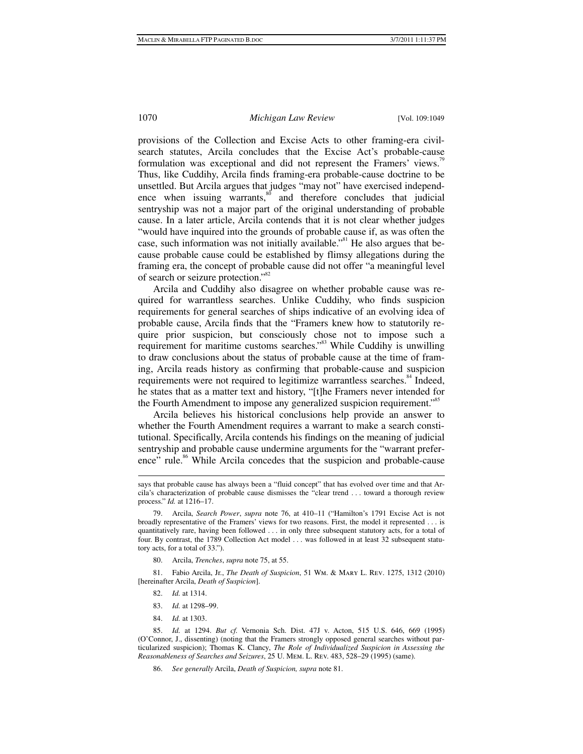provisions of the Collection and Excise Acts to other framing-era civilsearch statutes, Arcila concludes that the Excise Act's probable-cause formulation was exceptional and did not represent the Framers' views.<sup>79</sup> Thus, like Cuddihy, Arcila finds framing-era probable-cause doctrine to be unsettled. But Arcila argues that judges "may not" have exercised independence when issuing warrants, $\frac{80}{10}$  and therefore concludes that judicial sentryship was not a major part of the original understanding of probable cause. In a later article, Arcila contends that it is not clear whether judges "would have inquired into the grounds of probable cause if, as was often the case, such information was not initially available.<sup> $381$ </sup> He also argues that because probable cause could be established by flimsy allegations during the framing era, the concept of probable cause did not offer "a meaningful level of search or seizure protection."<sup>82</sup>

Arcila and Cuddihy also disagree on whether probable cause was required for warrantless searches. Unlike Cuddihy, who finds suspicion requirements for general searches of ships indicative of an evolving idea of probable cause, Arcila finds that the "Framers knew how to statutorily require prior suspicion, but consciously chose not to impose such a requirement for maritime customs searches."<sup>83</sup> While Cuddihy is unwilling to draw conclusions about the status of probable cause at the time of framing, Arcila reads history as confirming that probable-cause and suspicion requirements were not required to legitimize warrantless searches.<sup>84</sup> Indeed, he states that as a matter text and history, "[t]he Framers never intended for the Fourth Amendment to impose any generalized suspicion requirement.<sup>585</sup>

Arcila believes his historical conclusions help provide an answer to whether the Fourth Amendment requires a warrant to make a search constitutional. Specifically, Arcila contends his findings on the meaning of judicial sentryship and probable cause undermine arguments for the "warrant preference" rule.<sup>86</sup> While Arcila concedes that the suspicion and probable-cause

 81. Fabio Arcila, Jr., *The Death of Suspicion*, 51 Wm. & Mary L. Rev. 1275, 1312 (2010) [hereinafter Arcila, *Death of Suspicion*].

82. *Id.* at 1314.

1

- 83. *Id.* at 1298–99.
- 84. *Id.* at 1303.

 85. *Id.* at 1294. *But cf.* Vernonia Sch. Dist. 47J v. Acton, 515 U.S. 646, 669 (1995) (O'Connor, J., dissenting) (noting that the Framers strongly opposed general searches without particularized suspicion); Thomas K. Clancy, *The Role of Individualized Suspicion in Assessing the Reasonableness of Searches and Seizures*, 25 U. Mem. L. Rev. 483, 528–29 (1995) (same).

86. *See generally* Arcila, *Death of Suspicion, supra* note 81.

says that probable cause has always been a "fluid concept" that has evolved over time and that Arcila's characterization of probable cause dismisses the "clear trend . . . toward a thorough review process." *Id.* at 1216–17.

 <sup>79.</sup> Arcila, *Search Power*, *supra* note 76, at 410–11 ("Hamilton's 1791 Excise Act is not broadly representative of the Framers' views for two reasons. First, the model it represented . . . is quantitatively rare, having been followed . . . in only three subsequent statutory acts, for a total of four. By contrast, the 1789 Collection Act model . . . was followed in at least 32 subsequent statutory acts, for a total of 33.").

 <sup>80.</sup> Arcila, *Trenches*, *supra* note 75, at 55.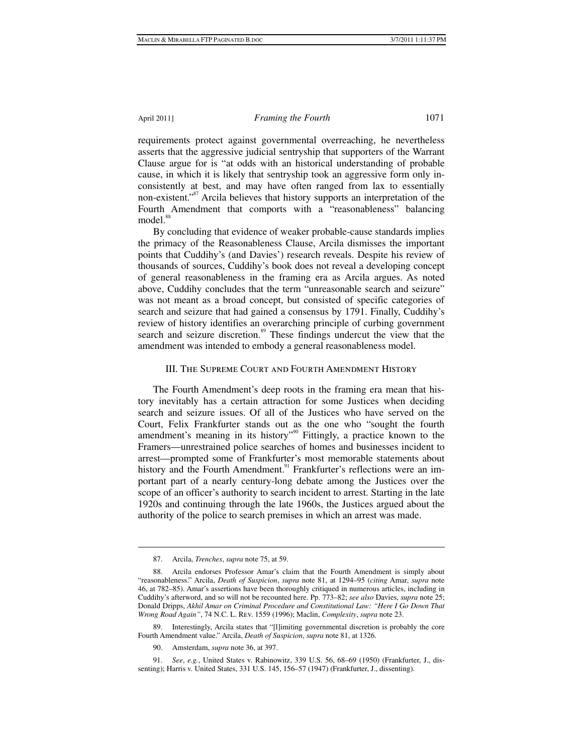requirements protect against governmental overreaching, he nevertheless asserts that the aggressive judicial sentryship that supporters of the Warrant Clause argue for is "at odds with an historical understanding of probable cause, in which it is likely that sentryship took an aggressive form only inconsistently at best, and may have often ranged from lax to essentially non-existent."<sup>87</sup> Arcila believes that history supports an interpretation of the Fourth Amendment that comports with a "reasonableness" balancing model.<sup>88</sup>

By concluding that evidence of weaker probable-cause standards implies the primacy of the Reasonableness Clause, Arcila dismisses the important points that Cuddihy's (and Davies') research reveals. Despite his review of thousands of sources, Cuddihy's book does not reveal a developing concept of general reasonableness in the framing era as Arcila argues. As noted above, Cuddihy concludes that the term "unreasonable search and seizure" was not meant as a broad concept, but consisted of specific categories of search and seizure that had gained a consensus by 1791. Finally, Cuddihy's review of history identifies an overarching principle of curbing government search and seizure discretion.<sup>89</sup> These findings undercut the view that the amendment was intended to embody a general reasonableness model.

# III. The Supreme Court and Fourth Amendment History

The Fourth Amendment's deep roots in the framing era mean that history inevitably has a certain attraction for some Justices when deciding search and seizure issues. Of all of the Justices who have served on the Court, Felix Frankfurter stands out as the one who "sought the fourth amendment's meaning in its history"<sup>90</sup> Fittingly, a practice known to the Framers—unrestrained police searches of homes and businesses incident to arrest—prompted some of Frankfurter's most memorable statements about history and the Fourth Amendment.<sup>91</sup> Frankfurter's reflections were an important part of a nearly century-long debate among the Justices over the scope of an officer's authority to search incident to arrest. Starting in the late 1920s and continuing through the late 1960s, the Justices argued about the authority of the police to search premises in which an arrest was made.

 <sup>87.</sup> Arcila, *Trenches*, *supra* note 75, at 59.

 <sup>88.</sup> Arcila endorses Professor Amar's claim that the Fourth Amendment is simply about "reasonableness." Arcila, *Death of Suspicion*, *supra* note 81, at 1294–95 (*citing* Amar, *supra* note 46, at 782–85). Amar's assertions have been thoroughly critiqued in numerous articles, including in Cuddihy's afterword, and so will not be recounted here. Pp. 773–82; *see also* Davies, *supra* note 25; Donald Dripps, *Akhil Amar on Criminal Procedure and Constitutional Law: "Here I Go Down That Wrong Road Again"*, 74 N.C. L. Rev. 1559 (1996); Maclin, *Complexity*, *supra* note 23.

Interestingly, Arcila states that "[l]imiting governmental discretion is probably the core Fourth Amendment value." Arcila, *Death of Suspicion*, *supra* note 81, at 1326.

 <sup>90.</sup> Amsterdam, *supra* note 36, at 397.

 <sup>91.</sup> *See*, *e.g.*, United States v. Rabinowitz, 339 U.S. 56, 68–69 (1950) (Frankfurter, J., dissenting); Harris v. United States, 331 U.S. 145, 156–57 (1947) (Frankfurter, J., dissenting).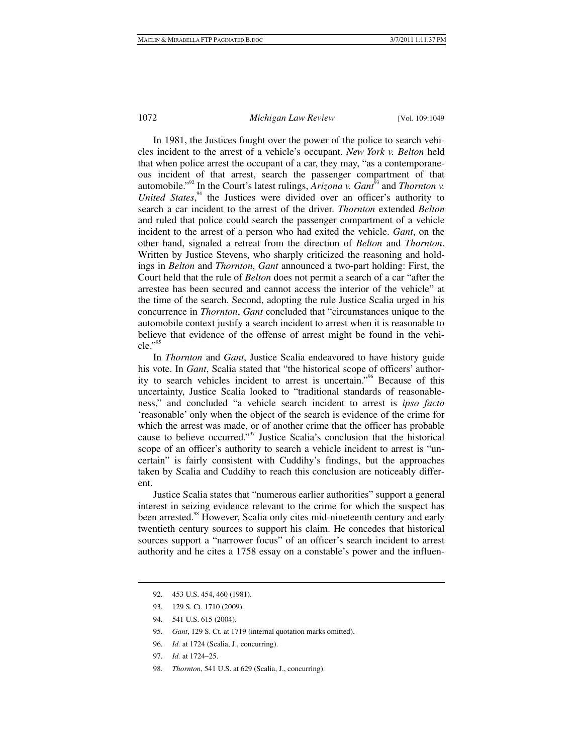In 1981, the Justices fought over the power of the police to search vehicles incident to the arrest of a vehicle's occupant. *New York v. Belton* held that when police arrest the occupant of a car, they may, "as a contemporaneous incident of that arrest, search the passenger compartment of that automobile."<sup>92</sup> In the Court's latest rulings, *Arizona v. Gant*<sup>33</sup> and *Thornton v. United States*, 94 the Justices were divided over an officer's authority to search a car incident to the arrest of the driver. *Thornton* extended *Belton* and ruled that police could search the passenger compartment of a vehicle incident to the arrest of a person who had exited the vehicle. *Gant*, on the other hand, signaled a retreat from the direction of *Belton* and *Thornton*. Written by Justice Stevens, who sharply criticized the reasoning and holdings in *Belton* and *Thornton*, *Gant* announced a two-part holding: First, the Court held that the rule of *Belton* does not permit a search of a car "after the arrestee has been secured and cannot access the interior of the vehicle" at the time of the search. Second, adopting the rule Justice Scalia urged in his concurrence in *Thornton*, *Gant* concluded that "circumstances unique to the automobile context justify a search incident to arrest when it is reasonable to believe that evidence of the offense of arrest might be found in the vehicle."95

In *Thornton* and *Gant*, Justice Scalia endeavored to have history guide his vote. In *Gant*, Scalia stated that "the historical scope of officers' authority to search vehicles incident to arrest is uncertain."96 Because of this uncertainty, Justice Scalia looked to "traditional standards of reasonableness," and concluded "a vehicle search incident to arrest is *ipso facto* 'reasonable' only when the object of the search is evidence of the crime for which the arrest was made, or of another crime that the officer has probable cause to believe occurred."<sup>97</sup> Justice Scalia's conclusion that the historical scope of an officer's authority to search a vehicle incident to arrest is "uncertain" is fairly consistent with Cuddihy's findings, but the approaches taken by Scalia and Cuddihy to reach this conclusion are noticeably different.

Justice Scalia states that "numerous earlier authorities" support a general interest in seizing evidence relevant to the crime for which the suspect has been arrested.<sup>98</sup> However, Scalia only cites mid-nineteenth century and early twentieth century sources to support his claim. He concedes that historical sources support a "narrower focus" of an officer's search incident to arrest authority and he cites a 1758 essay on a constable's power and the influen-

 <sup>92. 453</sup> U.S. 454, 460 (1981).

 <sup>93. 129</sup> S. Ct. 1710 (2009).

 <sup>94. 541</sup> U.S. 615 (2004).

 <sup>95.</sup> *Gant*, 129 S. Ct. at 1719 (internal quotation marks omitted).

 <sup>96.</sup> *Id.* at 1724 (Scalia, J., concurring).

 <sup>97.</sup> *Id.* at 1724–25.

 <sup>98.</sup> *Thornton*, 541 U.S. at 629 (Scalia, J., concurring).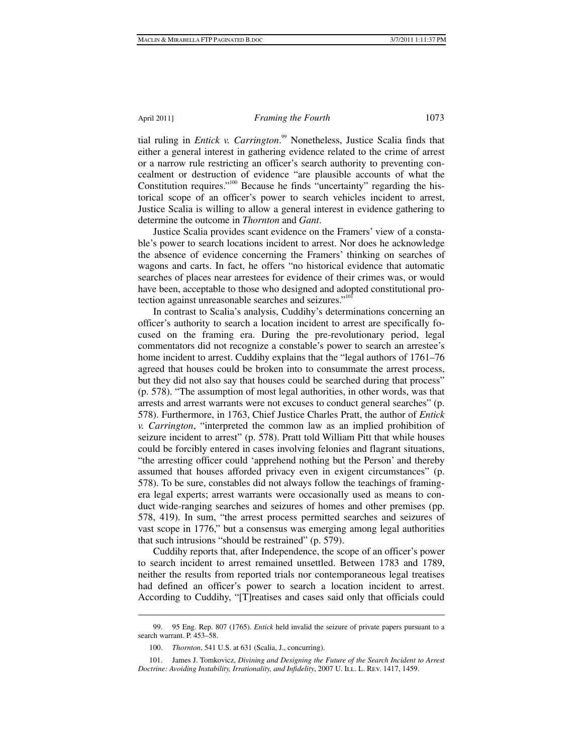tial ruling in *Entick v. Carrington*. 99 Nonetheless, Justice Scalia finds that either a general interest in gathering evidence related to the crime of arrest or a narrow rule restricting an officer's search authority to preventing concealment or destruction of evidence "are plausible accounts of what the Constitution requires."<sup>100</sup> Because he finds "uncertainty" regarding the historical scope of an officer's power to search vehicles incident to arrest, Justice Scalia is willing to allow a general interest in evidence gathering to determine the outcome in *Thornton* and *Gant*.

Justice Scalia provides scant evidence on the Framers' view of a constable's power to search locations incident to arrest. Nor does he acknowledge the absence of evidence concerning the Framers' thinking on searches of wagons and carts. In fact, he offers "no historical evidence that automatic searches of places near arrestees for evidence of their crimes was, or would have been, acceptable to those who designed and adopted constitutional protection against unreasonable searches and seizures."<sup>101</sup>

In contrast to Scalia's analysis, Cuddihy's determinations concerning an officer's authority to search a location incident to arrest are specifically focused on the framing era. During the pre-revolutionary period, legal commentators did not recognize a constable's power to search an arrestee's home incident to arrest. Cuddihy explains that the "legal authors of 1761–76 agreed that houses could be broken into to consummate the arrest process, but they did not also say that houses could be searched during that process" (p. 578). "The assumption of most legal authorities, in other words, was that arrests and arrest warrants were not excuses to conduct general searches" (p. 578). Furthermore, in 1763, Chief Justice Charles Pratt, the author of *Entick v. Carrington*, "interpreted the common law as an implied prohibition of seizure incident to arrest" (p. 578). Pratt told William Pitt that while houses could be forcibly entered in cases involving felonies and flagrant situations, "the arresting officer could 'apprehend nothing but the Person' and thereby assumed that houses afforded privacy even in exigent circumstances" (p. 578). To be sure, constables did not always follow the teachings of framingera legal experts; arrest warrants were occasionally used as means to conduct wide-ranging searches and seizures of homes and other premises (pp. 578, 419). In sum, "the arrest process permitted searches and seizures of vast scope in 1776," but a consensus was emerging among legal authorities that such intrusions "should be restrained" (p. 579).

Cuddihy reports that, after Independence, the scope of an officer's power to search incident to arrest remained unsettled. Between 1783 and 1789, neither the results from reported trials nor contemporaneous legal treatises had defined an officer's power to search a location incident to arrest. According to Cuddihy, "[T]reatises and cases said only that officials could

 $\overline{a}$ 

 <sup>99. 95</sup> Eng. Rep. 807 (1765). *Entick* held invalid the seizure of private papers pursuant to a search warrant. P. 453–58.

 <sup>100.</sup> *Thornton*, 541 U.S. at 631 (Scalia, J., concurring).

 <sup>101.</sup> James J. Tomkovicz, *Divining and Designing the Future of the Search Incident to Arrest Doctrine: Avoiding Instability, Irrationality, and Infidelity, 2007 U. ILL. L. REV. 1417, 1459.*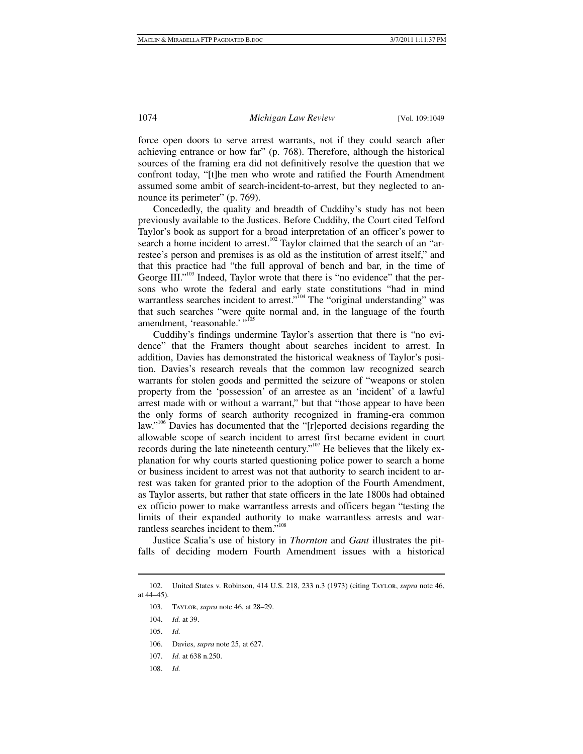force open doors to serve arrest warrants, not if they could search after achieving entrance or how far" (p. 768). Therefore, although the historical sources of the framing era did not definitively resolve the question that we confront today, "[t]he men who wrote and ratified the Fourth Amendment assumed some ambit of search-incident-to-arrest, but they neglected to announce its perimeter" (p. 769).

Concededly, the quality and breadth of Cuddihy's study has not been previously available to the Justices. Before Cuddihy, the Court cited Telford Taylor's book as support for a broad interpretation of an officer's power to search a home incident to arrest.<sup>102</sup> Taylor claimed that the search of an "arrestee's person and premises is as old as the institution of arrest itself," and that this practice had "the full approval of bench and bar, in the time of George III."<sup>103</sup> Indeed, Taylor wrote that there is "no evidence" that the persons who wrote the federal and early state constitutions "had in mind warrantless searches incident to arrest."<sup>104</sup> The "original understanding" was that such searches "were quite normal and, in the language of the fourth amendment, 'reasonable.' "<sup>105</sup>

Cuddihy's findings undermine Taylor's assertion that there is "no evidence" that the Framers thought about searches incident to arrest. In addition, Davies has demonstrated the historical weakness of Taylor's position. Davies's research reveals that the common law recognized search warrants for stolen goods and permitted the seizure of "weapons or stolen property from the 'possession' of an arrestee as an 'incident' of a lawful arrest made with or without a warrant," but that "those appear to have been the only forms of search authority recognized in framing-era common law."<sup>106</sup> Davies has documented that the "[r]eported decisions regarding the allowable scope of search incident to arrest first became evident in court records during the late nineteenth century."<sup>107</sup> He believes that the likely explanation for why courts started questioning police power to search a home or business incident to arrest was not that authority to search incident to arrest was taken for granted prior to the adoption of the Fourth Amendment, as Taylor asserts, but rather that state officers in the late 1800s had obtained ex officio power to make warrantless arrests and officers began "testing the limits of their expanded authority to make warrantless arrests and warrantless searches incident to them."<sup>108</sup>

Justice Scalia's use of history in *Thornton* and *Gant* illustrates the pitfalls of deciding modern Fourth Amendment issues with a historical

1

108. *Id.*

 <sup>102.</sup> United States v. Robinson, 414 U.S. 218, 233 n.3 (1973) (citing Taylor, *supra* note 46, at 44–45).

 <sup>103.</sup> Taylor, *supra* note 46, at 28–29.

 <sup>104.</sup> *Id.* at 39.

 <sup>105.</sup> *Id.*

 <sup>106.</sup> Davies, *supra* note 25, at 627.

 <sup>107.</sup> *Id.* at 638 n.250.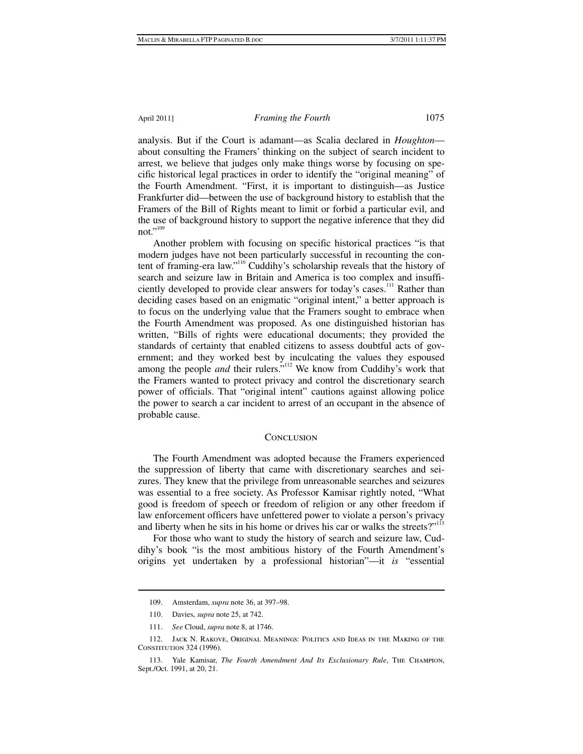analysis. But if the Court is adamant—as Scalia declared in *Houghton* about consulting the Framers' thinking on the subject of search incident to arrest, we believe that judges only make things worse by focusing on specific historical legal practices in order to identify the "original meaning" of the Fourth Amendment. "First, it is important to distinguish—as Justice Frankfurter did—between the use of background history to establish that the Framers of the Bill of Rights meant to limit or forbid a particular evil, and the use of background history to support the negative inference that they did not."<sup>109</sup>

Another problem with focusing on specific historical practices "is that modern judges have not been particularly successful in recounting the content of framing-era law."110 Cuddihy's scholarship reveals that the history of search and seizure law in Britain and America is too complex and insufficiently developed to provide clear answers for today's cases.<sup>111</sup> Rather than deciding cases based on an enigmatic "original intent," a better approach is to focus on the underlying value that the Framers sought to embrace when the Fourth Amendment was proposed. As one distinguished historian has written, "Bills of rights were educational documents; they provided the standards of certainty that enabled citizens to assess doubtful acts of government; and they worked best by inculcating the values they espoused among the people *and* their rulers.<sup>5,112</sup> We know from Cuddihy's work that the Framers wanted to protect privacy and control the discretionary search power of officials. That "original intent" cautions against allowing police the power to search a car incident to arrest of an occupant in the absence of probable cause.

#### **CONCLUSION**

The Fourth Amendment was adopted because the Framers experienced the suppression of liberty that came with discretionary searches and seizures. They knew that the privilege from unreasonable searches and seizures was essential to a free society. As Professor Kamisar rightly noted, "What good is freedom of speech or freedom of religion or any other freedom if law enforcement officers have unfettered power to violate a person's privacy and liberty when he sits in his home or drives his car or walks the streets?"<sup>113</sup>

For those who want to study the history of search and seizure law, Cuddihy's book "is the most ambitious history of the Fourth Amendment's origins yet undertaken by a professional historian"—it *is* "essential

 <sup>109.</sup> Amsterdam, *supra* note 36, at 397–98.

 <sup>110.</sup> Davies, *supra* note 25, at 742.

 <sup>111.</sup> *See* Cloud, *supra* note 8, at 1746.

 <sup>112.</sup> Jack N. Rakove, Original Meanings: Politics and Ideas in the Making of the CONSTITUTION 324 (1996).

 <sup>113.</sup> Yale Kamisar, *The Fourth Amendment And Its Exclusionary Rule*, The Champion, Sept./Oct. 1991, at 20, 21.